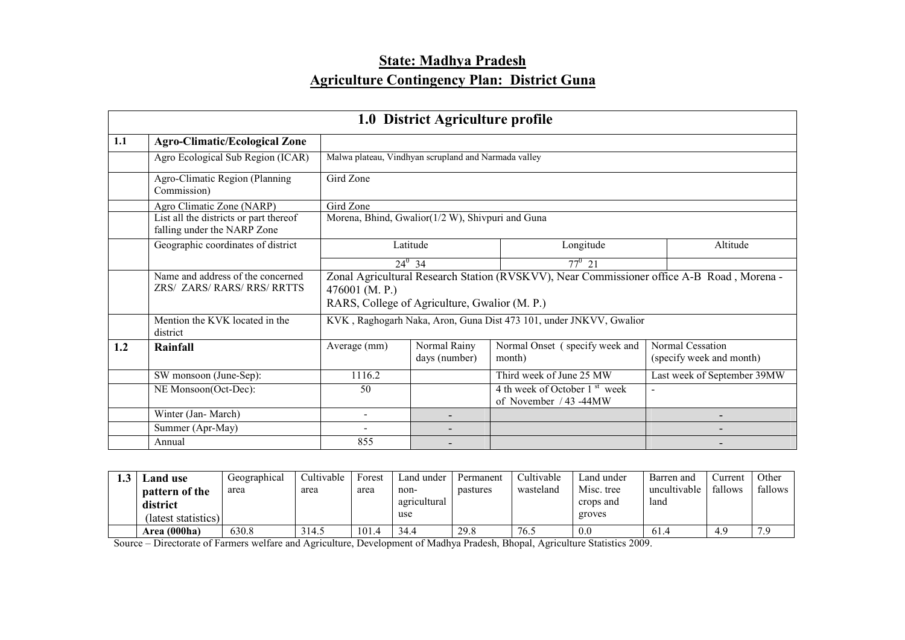# State: Madhya Pradesh Agriculture Contingency Plan: District Guna

|     | 1.0 District Agriculture profile                                      |                                                                                                                                                              |                                                  |                                                                     |                                              |  |  |  |  |  |
|-----|-----------------------------------------------------------------------|--------------------------------------------------------------------------------------------------------------------------------------------------------------|--------------------------------------------------|---------------------------------------------------------------------|----------------------------------------------|--|--|--|--|--|
| 1.1 | <b>Agro-Climatic/Ecological Zone</b>                                  |                                                                                                                                                              |                                                  |                                                                     |                                              |  |  |  |  |  |
|     | Agro Ecological Sub Region (ICAR)                                     | Malwa plateau, Vindhyan scrupland and Narmada valley                                                                                                         |                                                  |                                                                     |                                              |  |  |  |  |  |
|     | Agro-Climatic Region (Planning<br>Commission)                         | Gird Zone                                                                                                                                                    |                                                  |                                                                     |                                              |  |  |  |  |  |
|     | Agro Climatic Zone (NARP)                                             | Gird Zone                                                                                                                                                    |                                                  |                                                                     |                                              |  |  |  |  |  |
|     | List all the districts or part thereof<br>falling under the NARP Zone |                                                                                                                                                              | Morena, Bhind, Gwalior(1/2 W), Shivpuri and Guna |                                                                     |                                              |  |  |  |  |  |
|     | Geographic coordinates of district                                    | Latitude                                                                                                                                                     |                                                  | Longitude                                                           | Altitude                                     |  |  |  |  |  |
|     |                                                                       |                                                                                                                                                              | $24^0$ 34                                        | $77^0$ 21                                                           |                                              |  |  |  |  |  |
|     | Name and address of the concerned<br><b>ZRS/ ZARS/RARS/RRS/RRTTS</b>  | Zonal Agricultural Research Station (RVSKVV), Near Commissioner office A-B Road, Morena -<br>476001 (M. P.)<br>RARS, College of Agriculture, Gwalior (M. P.) |                                                  |                                                                     |                                              |  |  |  |  |  |
|     | Mention the KVK located in the<br>district                            |                                                                                                                                                              |                                                  | KVK, Raghogarh Naka, Aron, Guna Dist 473 101, under JNKVV, Gwalior  |                                              |  |  |  |  |  |
| 1.2 | Rainfall                                                              | Average (mm)                                                                                                                                                 | Normal Rainy<br>days (number)                    | Normal Onset (specify week and<br>month)                            | Normal Cessation<br>(specify week and month) |  |  |  |  |  |
|     | SW monsoon (June-Sep):                                                | 1116.2                                                                                                                                                       |                                                  | Third week of June 25 MW                                            | Last week of September 39MW                  |  |  |  |  |  |
|     | NE Monsoon(Oct-Dec):                                                  | 50                                                                                                                                                           |                                                  | 4 th week of October 1 <sup>st</sup> week<br>of November / 43 -44MW | $\sim$                                       |  |  |  |  |  |
|     | Winter (Jan-March)                                                    | $\blacksquare$                                                                                                                                               |                                                  |                                                                     |                                              |  |  |  |  |  |
|     | Summer (Apr-May)                                                      |                                                                                                                                                              |                                                  |                                                                     |                                              |  |  |  |  |  |
|     | Annual                                                                | 855                                                                                                                                                          |                                                  |                                                                     |                                              |  |  |  |  |  |

| ∟and use                                          | Geographical | Cultivable | Forest | Land under                  | Permanent | Cultivable | Land under                        | Barren and           | Current | Other   |
|---------------------------------------------------|--------------|------------|--------|-----------------------------|-----------|------------|-----------------------------------|----------------------|---------|---------|
| pattern of the<br>district<br>(latest statistics) | area         | area       | area   | non-<br>agricultural<br>use | pastures  | wasteland  | Misc. tree<br>crops and<br>groves | uncultivable<br>land | fallows | fallows |
| Area (000ha)                                      | 630.8        | 314.5      | 101.4  | 34.4                        | 29.8      | 76.5       | 0.0                               | 61.4                 | 4 C     | 7.9     |

Source – Directorate of Farmers welfare and Agriculture, Development of Madhya Pradesh, Bhopal, Agriculture Statistics 2009.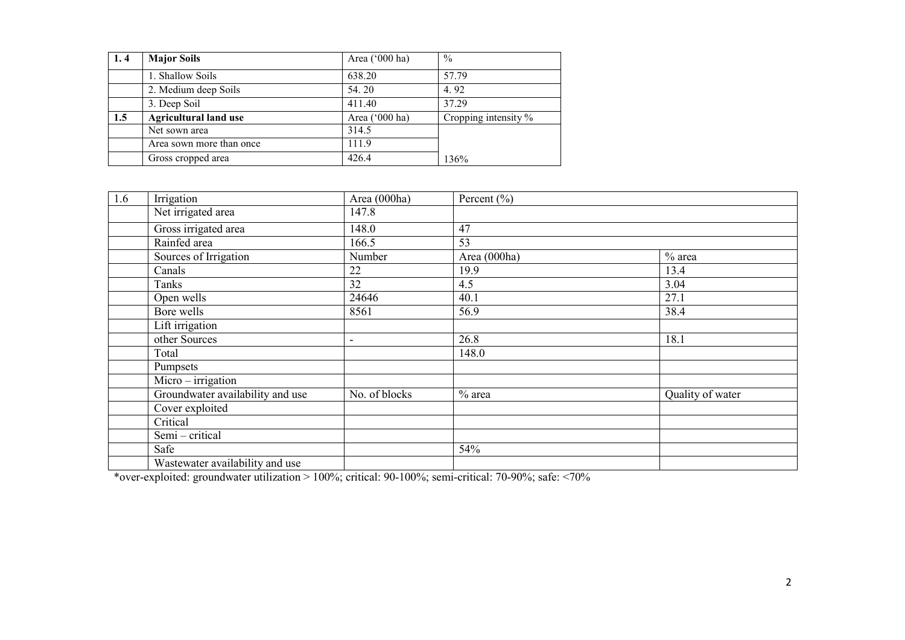| 1.4 | <b>Major Soils</b>           | Area $('000 ha)$ | $\frac{0}{0}$           |  |
|-----|------------------------------|------------------|-------------------------|--|
|     | 1. Shallow Soils             | 638.20           | 57.79                   |  |
|     | 2. Medium deep Soils         | 54.20            | 4.92                    |  |
|     | 3. Deep Soil                 | 411.40           | 37 29                   |  |
| 1.5 | <b>Agricultural land use</b> | Area $('000 ha)$ | Cropping intensity $\%$ |  |
|     | Net sown area                | 314.5            |                         |  |
|     | Area sown more than once     | 111.9            |                         |  |
|     | Gross cropped area           | 426.4            | 136%                    |  |

| 1.6 | Irrigation                                                                                                    | Area (000ha)             | Percent $(\% )$ |                  |
|-----|---------------------------------------------------------------------------------------------------------------|--------------------------|-----------------|------------------|
|     | Net irrigated area                                                                                            | 147.8                    |                 |                  |
|     | Gross irrigated area                                                                                          | 148.0                    | 47              |                  |
|     | Rainfed area                                                                                                  | 166.5                    | 53              |                  |
|     | Sources of Irrigation                                                                                         | Number                   | Area (000ha)    | $%$ area         |
|     | Canals                                                                                                        | 22                       | 19.9            | 13.4             |
|     | Tanks                                                                                                         | 32                       | 4.5             | 3.04             |
|     | Open wells                                                                                                    | 24646                    | 40.1            | 27.1             |
|     | Bore wells                                                                                                    | 8561                     | 56.9            | 38.4             |
|     | Lift irrigation                                                                                               |                          |                 |                  |
|     | other Sources                                                                                                 | $\overline{\phantom{a}}$ | 26.8            | 18.1             |
|     | Total                                                                                                         |                          | 148.0           |                  |
|     | Pumpsets                                                                                                      |                          |                 |                  |
|     | $Micro - irrigation$                                                                                          |                          |                 |                  |
|     | Groundwater availability and use                                                                              | No. of blocks            | $%$ area        | Quality of water |
|     | Cover exploited                                                                                               |                          |                 |                  |
|     | Critical                                                                                                      |                          |                 |                  |
|     | Semi - critical                                                                                               |                          |                 |                  |
|     | Safe                                                                                                          |                          | 54%             |                  |
|     | Wastewater availability and use                                                                               |                          |                 |                  |
|     | *over-exploited: groundwater utilization > 100%; critical: $90-100\%$ ; semi-critical: $70-90\%$ ; safe: <70% |                          |                 |                  |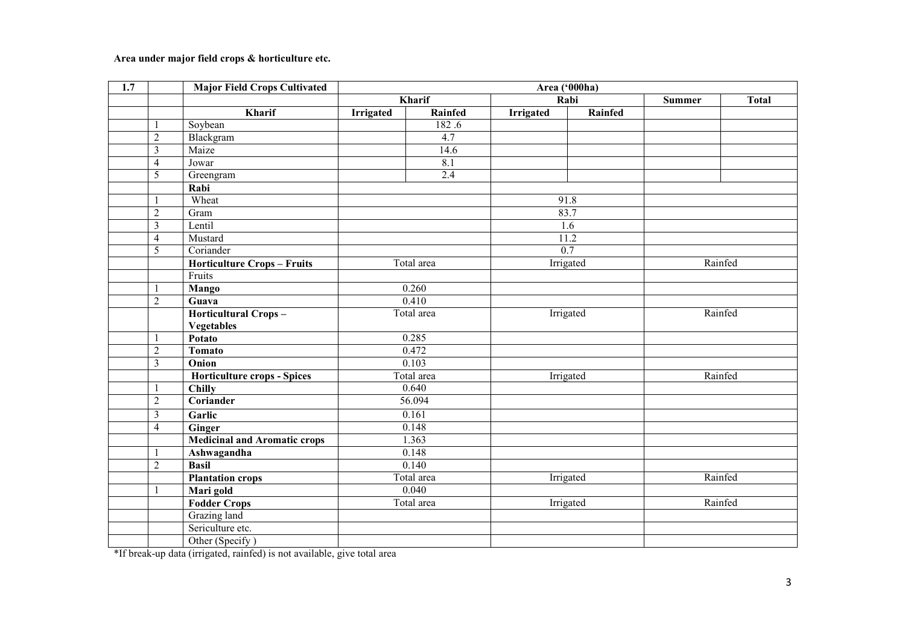#### Area under major field crops & horticulture etc.

| 1.7 |                         | <b>Major Field Crops Cultivated</b> | Area ('000ha)    |               |                  |           |               |              |
|-----|-------------------------|-------------------------------------|------------------|---------------|------------------|-----------|---------------|--------------|
|     |                         |                                     |                  | <b>Kharif</b> |                  | Rabi      | <b>Summer</b> | <b>Total</b> |
|     |                         | Kharif                              | <b>Irrigated</b> | Rainfed       | <b>Irrigated</b> | Rainfed   |               |              |
|     | $\mathbf{1}$            | Soybean                             |                  | 182.6         |                  |           |               |              |
|     | $\sqrt{2}$              | Blackgram                           |                  | 4.7           |                  |           |               |              |
|     | $\overline{\mathbf{3}}$ | Maize                               |                  | 14.6          |                  |           |               |              |
|     | $\overline{4}$          | Jowar                               |                  | 8.1           |                  |           |               |              |
|     | 5                       | Greengram                           |                  | 2.4           |                  |           |               |              |
|     |                         | Rabi                                |                  |               |                  |           |               |              |
|     | 1                       | Wheat                               |                  |               |                  | 91.8      |               |              |
|     | $\overline{2}$          | Gram                                |                  |               |                  | 83.7      |               |              |
|     | $\overline{\mathbf{3}}$ | Lentil                              |                  |               |                  | 1.6       |               |              |
|     | $\overline{4}$          | Mustard                             |                  |               |                  | 11.2      |               |              |
|     | $\overline{5}$          | Coriander                           |                  |               |                  | 0.7       |               |              |
|     |                         | <b>Horticulture Crops - Fruits</b>  |                  | Total area    |                  | Irrigated | Rainfed       |              |
|     |                         | Fruits                              |                  |               |                  |           |               |              |
|     | -1                      | <b>Mango</b>                        |                  | 0.260         |                  |           |               |              |
|     | $\overline{2}$          | Guava                               |                  | 0.410         |                  |           |               |              |
|     |                         | <b>Horticultural Crops-</b>         |                  | Total area    |                  | Irrigated | Rainfed       |              |
|     |                         | <b>Vegetables</b>                   |                  |               |                  |           |               |              |
|     | $\mathbf{1}$            | Potato                              |                  | 0.285         |                  |           |               |              |
|     | $\overline{2}$          | Tomato                              |                  | 0.472         |                  |           |               |              |
|     | $\overline{\mathbf{3}}$ | Onion                               |                  | 0.103         |                  |           |               |              |
|     |                         | Horticulture crops - Spices         |                  | Total area    |                  | Irrigated | Rainfed       |              |
|     | $\mathbf{1}$            | <b>Chilly</b>                       |                  | 0.640         |                  |           |               |              |
|     | $\overline{c}$          | Coriander                           |                  | 56.094        |                  |           |               |              |
|     | $\overline{\mathbf{3}}$ | Garlic                              |                  | 0.161         |                  |           |               |              |
|     | $\overline{4}$          | <b>Ginger</b>                       |                  | 0.148         |                  |           |               |              |
|     |                         | <b>Medicinal and Aromatic crops</b> |                  | 1.363         |                  |           |               |              |
|     | $\mathbf{1}$            | Ashwagandha                         |                  | 0.148         |                  |           |               |              |
|     | $\overline{2}$          | <b>Basil</b>                        |                  | 0.140         |                  |           |               |              |
|     |                         | <b>Plantation crops</b>             |                  | Total area    |                  | Irrigated | Rainfed       |              |
|     | 1                       | Mari gold                           |                  | 0.040         |                  |           |               |              |
|     |                         | <b>Fodder Crops</b>                 |                  | Total area    |                  | Irrigated |               | Rainfed      |
|     |                         | Grazing land                        |                  |               |                  |           |               |              |
|     |                         | Sericulture etc.                    |                  |               |                  |           |               |              |
|     |                         | Other (Specify)                     |                  |               |                  |           |               |              |

\*If break-up data (irrigated, rainfed) is not available, give total area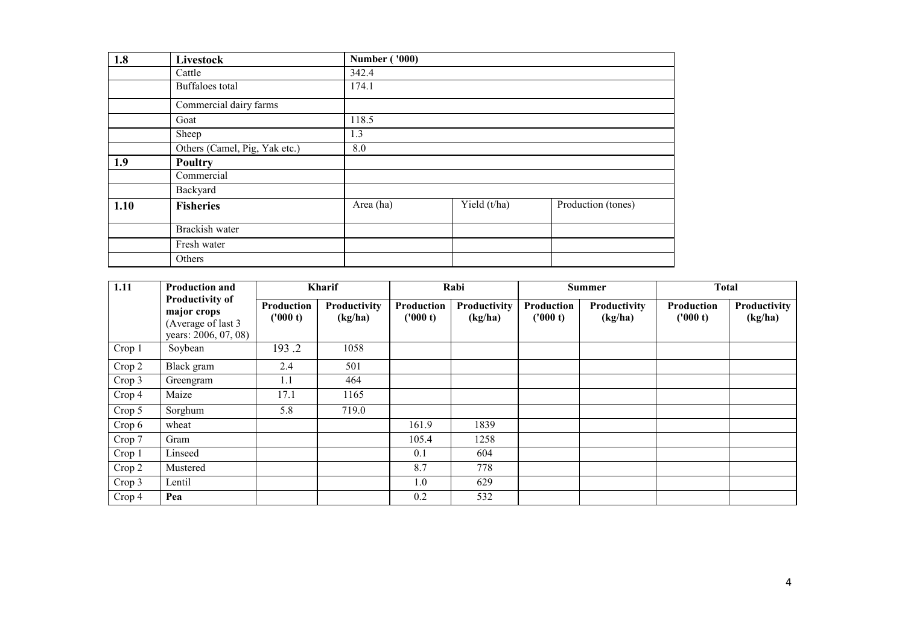| 1.8  | Livestock                     | <b>Number ('000)</b> |              |                    |
|------|-------------------------------|----------------------|--------------|--------------------|
|      | Cattle                        | 342.4                |              |                    |
|      | Buffaloes total               | 174.1                |              |                    |
|      | Commercial dairy farms        |                      |              |                    |
|      | Goat                          | 118.5                |              |                    |
|      | Sheep                         | 1.3                  |              |                    |
|      | Others (Camel, Pig, Yak etc.) | 8.0                  |              |                    |
| 1.9  | <b>Poultry</b>                |                      |              |                    |
|      | Commercial                    |                      |              |                    |
|      | Backyard                      |                      |              |                    |
| 1.10 | <b>Fisheries</b>              | Area (ha)            | Yield (t/ha) | Production (tones) |
|      | Brackish water                |                      |              |                    |
|      | Fresh water                   |                      |              |                    |
|      | Others                        |                      |              |                    |

| 1.11   | <b>Production and</b>                                                               | <b>Kharif</b>          |                         |                        | Rabi                    |                        | <b>Summer</b>                  | <b>Total</b>                  |                         |
|--------|-------------------------------------------------------------------------------------|------------------------|-------------------------|------------------------|-------------------------|------------------------|--------------------------------|-------------------------------|-------------------------|
|        | <b>Productivity of</b><br>major crops<br>(Average of last 3<br>years: 2006, 07, 08) | Production<br>('000 t) | Productivity<br>(kg/ha) | Production<br>('000 t) | Productivity<br>(kg/ha) | Production<br>('000 t) | <b>Productivity</b><br>(kg/ha) | <b>Production</b><br>('000 t) | Productivity<br>(kg/ha) |
| Crop 1 | Soybean                                                                             | 193.2                  | 1058                    |                        |                         |                        |                                |                               |                         |
| Crop 2 | Black gram                                                                          | 2.4                    | 501                     |                        |                         |                        |                                |                               |                         |
| Crop 3 | Greengram                                                                           | 1.1                    | 464                     |                        |                         |                        |                                |                               |                         |
| Crop 4 | Maize                                                                               | 17.1                   | 1165                    |                        |                         |                        |                                |                               |                         |
| Crop 5 | Sorghum                                                                             | 5.8                    | 719.0                   |                        |                         |                        |                                |                               |                         |
| Crop 6 | wheat                                                                               |                        |                         | 161.9                  | 1839                    |                        |                                |                               |                         |
| Crop 7 | Gram                                                                                |                        |                         | 105.4                  | 1258                    |                        |                                |                               |                         |
| Crop 1 | Linseed                                                                             |                        |                         | 0.1                    | 604                     |                        |                                |                               |                         |
| Crop 2 | Mustered                                                                            |                        |                         | 8.7                    | 778                     |                        |                                |                               |                         |
| Crop 3 | Lentil                                                                              |                        |                         | 1.0                    | 629                     |                        |                                |                               |                         |
| Crop 4 | Pea                                                                                 |                        |                         | 0.2                    | 532                     |                        |                                |                               |                         |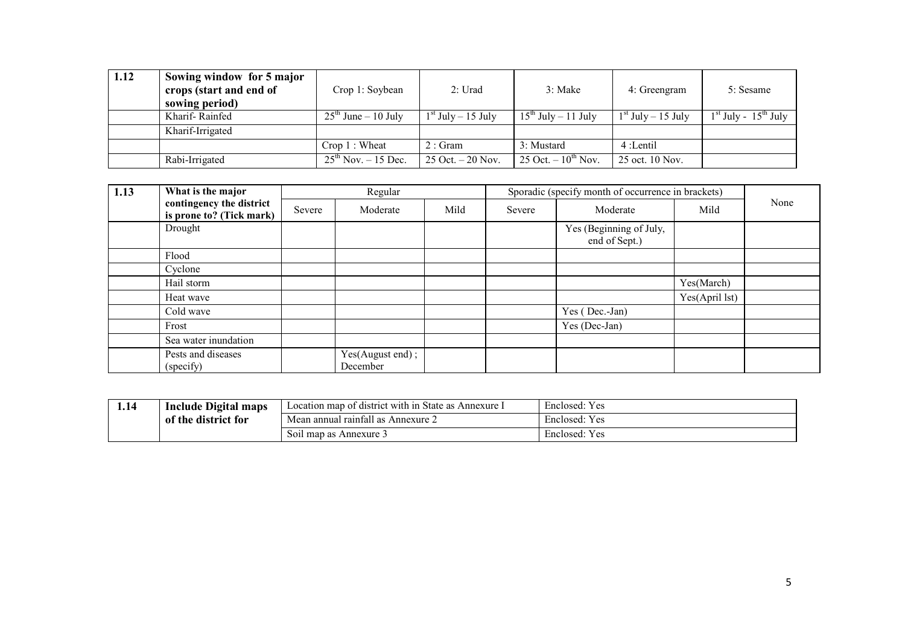| 1.12 | Sowing window for 5 major<br>crops (start and end of<br>sowing period) | Crop 1: Soybean           | 2: Urad                             | 3: Make                  | 4: Greengram           | 5: Sesame                |
|------|------------------------------------------------------------------------|---------------------------|-------------------------------------|--------------------------|------------------------|--------------------------|
|      | Kharif-Rainfed                                                         | $25th$ June – 10 July     | $1st$ July $-15$ July               | $15^{th}$ July – 11 July | $1st$ July $- 15$ July | $1st$ July - $15th$ July |
|      | Kharif-Irrigated                                                       |                           |                                     |                          |                        |                          |
|      |                                                                        | $Crop 1:$ Wheat           | $2:$ Gram                           | 3: Mustard               | 4 :Lentil              |                          |
|      | Rabi-Irrigated                                                         | $25^{th}$ Nov. $-15$ Dec. | $25 \text{ Oct.} - 20 \text{ Nov.}$ | 25 Oct. $-10^{th}$ Nov.  | 25 oct. 10 Nov.        |                          |

| 1.13 | What is the major                                    |        | Regular                      |      |        | Sporadic (specify month of occurrence in brackets) |                |      |
|------|------------------------------------------------------|--------|------------------------------|------|--------|----------------------------------------------------|----------------|------|
|      | contingency the district<br>is prone to? (Tick mark) | Severe | Moderate                     | Mild | Severe | Moderate                                           | Mild           | None |
|      | Drought                                              |        |                              |      |        | Yes (Beginning of July,<br>end of Sept.)           |                |      |
|      | Flood                                                |        |                              |      |        |                                                    |                |      |
|      | Cyclone                                              |        |                              |      |        |                                                    |                |      |
|      | Hail storm                                           |        |                              |      |        |                                                    | Yes(March)     |      |
|      | Heat wave                                            |        |                              |      |        |                                                    | Yes(April lst) |      |
|      | Cold wave                                            |        |                              |      |        | Yes (Dec.-Jan)                                     |                |      |
|      | Frost                                                |        |                              |      |        | Yes (Dec-Jan)                                      |                |      |
|      | Sea water inundation                                 |        |                              |      |        |                                                    |                |      |
|      | Pests and diseases<br>(specify)                      |        | Yes(August end);<br>December |      |        |                                                    |                |      |

| 1.14 | <b>Include Digital</b><br>maps              | Location map of district with in S<br>State as<br>Annexure. | $\mathbf{v}$<br>Enclosed:<br>Y es |
|------|---------------------------------------------|-------------------------------------------------------------|-----------------------------------|
|      | $\cdot$ the $\cdot$<br>e district for<br>0Ť | $^{\circ}$ 11<br>Mean annual raintall as a<br>Annexure 2    | $\mathbf{v}$<br>Enclosed:<br>Y es |
|      |                                             | Soil map as Annexure 3                                      | $\mathbf{v}$<br>Enclosed:<br>Y es |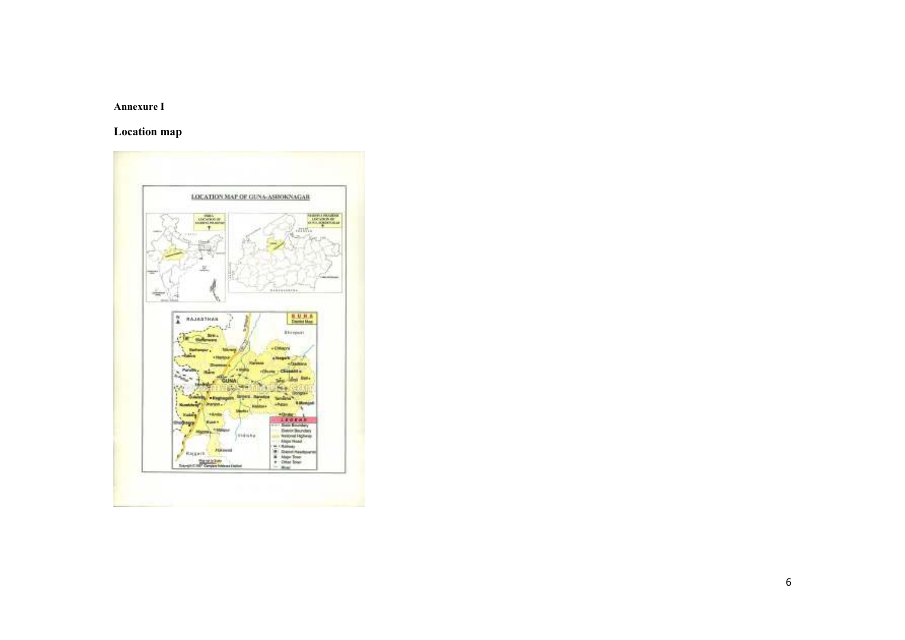#### Annexure I

# Location map

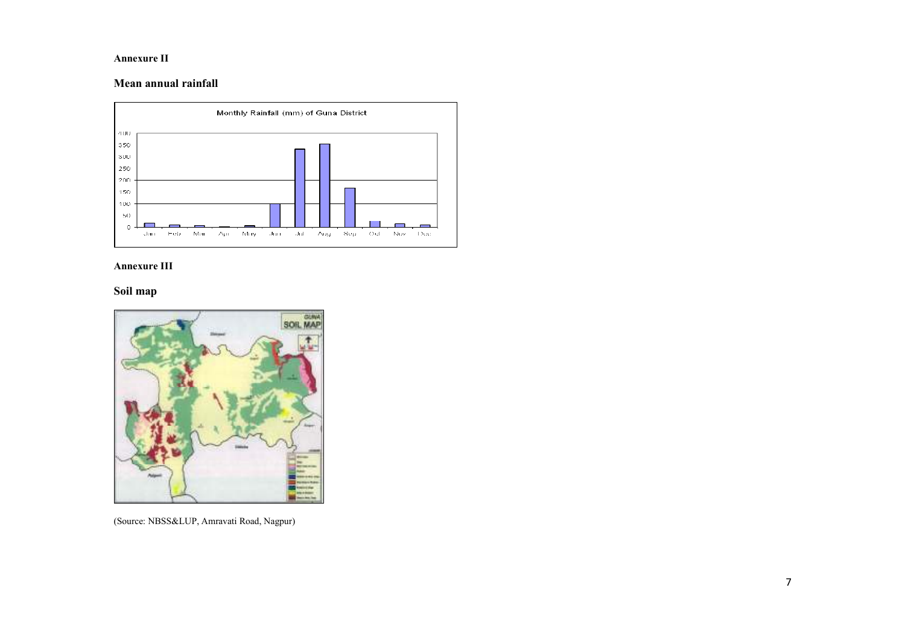#### Annexure II

### Mean annual rainfall



#### Annexure III

### Soil map



(Source: NBSS&LUP, Amravati Road, Nagpur)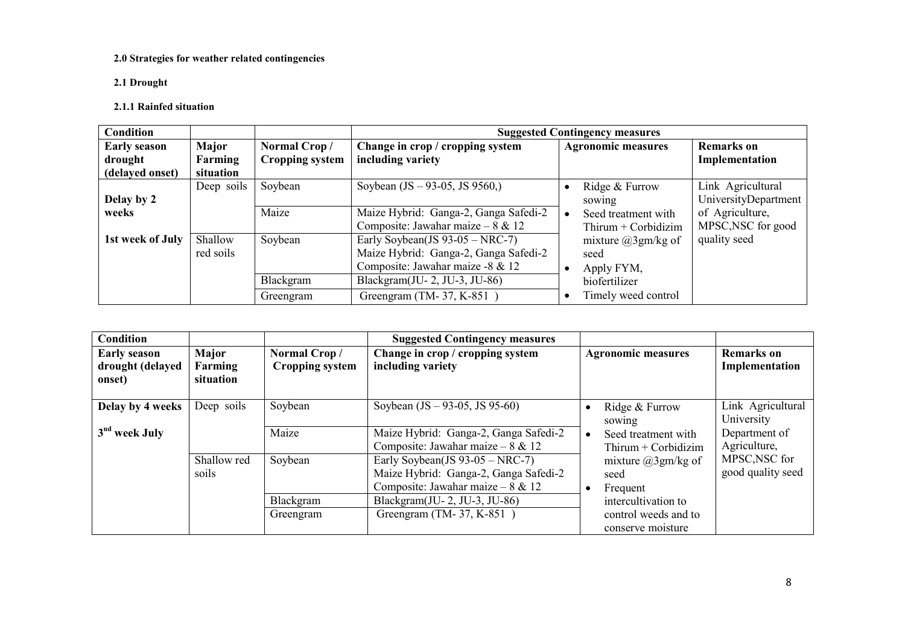#### 2.0 Strategies for weather related contingencies

2.1 Drought

#### 2.1.1 Rainfed situation

| Condition           |                       |                        | <b>Suggested Contingency measures</b>     |                           |                      |  |  |  |  |
|---------------------|-----------------------|------------------------|-------------------------------------------|---------------------------|----------------------|--|--|--|--|
| <b>Early season</b> | Major<br>Normal Crop/ |                        | Change in crop / cropping system          | <b>Agronomic measures</b> | <b>Remarks</b> on    |  |  |  |  |
| drought             | Farming               | <b>Cropping system</b> | including variety                         |                           | Implementation       |  |  |  |  |
| (delayed onset)     | situation             |                        |                                           |                           |                      |  |  |  |  |
|                     | Deep soils            | Soybean                | Soybean $(JS - 93-05, JS 9560)$           | Ridge & Furrow            | Link Agricultural    |  |  |  |  |
| Delay by 2          |                       |                        |                                           | sowing                    | UniversityDepartment |  |  |  |  |
| weeks               |                       | Maize                  | Maize Hybrid: Ganga-2, Ganga Safedi-2     | Seed treatment with       | of Agriculture,      |  |  |  |  |
|                     |                       |                        | Composite: Jawahar maize $-8 & 12$        | Thirum $+$ Corbidizim     | MPSC, NSC for good   |  |  |  |  |
| 1st week of July    | Shallow               | Soybean                | Early Soybean(JS $93-05 - \text{NRC-7}$ ) | mixture $(a)3gm/kg$ of    | quality seed         |  |  |  |  |
|                     | red soils             |                        | Maize Hybrid: Ganga-2, Ganga Safedi-2     | seed                      |                      |  |  |  |  |
|                     |                       |                        | Composite: Jawahar maize -8 & 12          | Apply FYM,                |                      |  |  |  |  |
|                     |                       | Blackgram              | Blackgram $(U-2, JU-3, JU-86)$            | biofertilizer             |                      |  |  |  |  |
|                     |                       | Greengram              | Greengram (TM-37, K-851)                  | Timely weed control       |                      |  |  |  |  |

| <b>Condition</b>                                  |                               |                                        | <b>Suggested Contingency measures</b>                                                                               |                                                           |                                     |
|---------------------------------------------------|-------------------------------|----------------------------------------|---------------------------------------------------------------------------------------------------------------------|-----------------------------------------------------------|-------------------------------------|
| <b>Early season</b><br>drought (delayed<br>onset) | Major<br>Farming<br>situation | Normal Crop/<br><b>Cropping system</b> | Change in crop / cropping system<br>including variety                                                               | <b>Agronomic measures</b>                                 | <b>Remarks</b> on<br>Implementation |
| Delay by 4 weeks                                  | Deep soils                    | Soybean                                | Soybean $(JS - 93-05, JS 95-60)$                                                                                    | Ridge & Furrow<br>sowing                                  | Link Agricultural<br>University     |
| 3 <sup>nd</sup> week July                         |                               | Maize                                  | Maize Hybrid: Ganga-2, Ganga Safedi-2<br>Composite: Jawahar maize – $8 \& 12$                                       | Seed treatment with<br>$\bullet$<br>$Thirum + Corbidizim$ | Department of<br>Agriculture,       |
|                                                   | Shallow red<br>soils          | Soybean                                | Early Soybean(JS $93-05 - NRC-7$ )<br>Maize Hybrid: Ganga-2, Ganga Safedi-2<br>Composite: Jawahar maize – $8 \& 12$ | mixture $(a)3gm/kg$ of<br>seed<br>Frequent                | MPSC, NSC for<br>good quality seed  |
|                                                   |                               | Blackgram                              | Blackgram(JU-2, JU-3, JU-86)                                                                                        | intercultivation to                                       |                                     |
|                                                   |                               | Greengram                              | Greengram (TM-37, K-851)                                                                                            | control weeds and to<br>conserve moisture                 |                                     |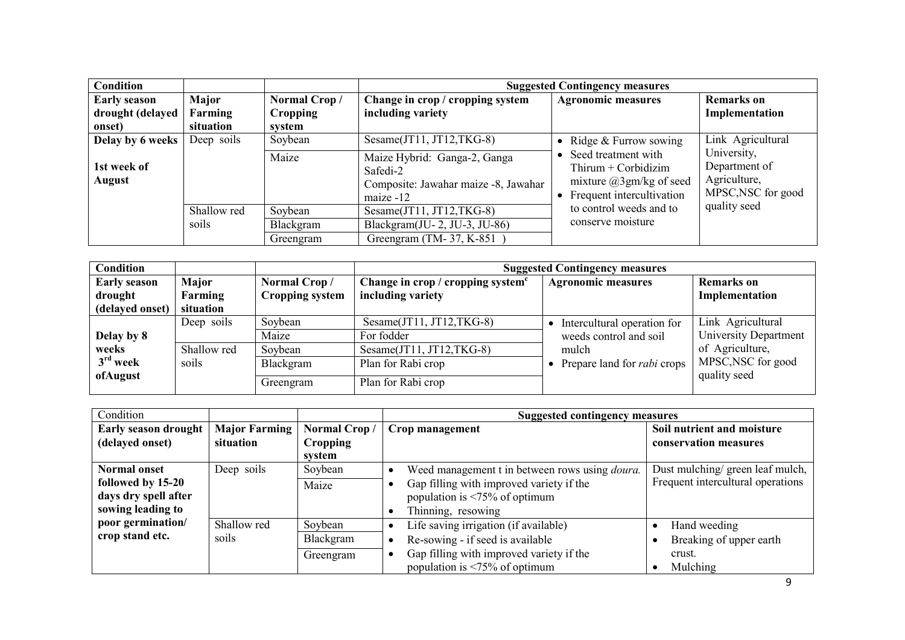| <b>Condition</b>      |             |              | <b>Suggested Contingency measures</b>                                                         |                                                                                                            |                                                                    |  |
|-----------------------|-------------|--------------|-----------------------------------------------------------------------------------------------|------------------------------------------------------------------------------------------------------------|--------------------------------------------------------------------|--|
| <b>Early season</b>   | Major       | Normal Crop/ | Change in crop / cropping system                                                              | <b>Agronomic measures</b>                                                                                  | <b>Remarks</b> on                                                  |  |
| drought (delayed      | Farming     | Cropping     | including variety                                                                             |                                                                                                            | Implementation                                                     |  |
| onset)                | situation   | system       |                                                                                               |                                                                                                            |                                                                    |  |
| Delay by 6 weeks      | Deep soils  | Soybean      | Sesame(JT11, JT12,TKG-8)                                                                      | Ridge & Furrow sowing                                                                                      | Link Agricultural                                                  |  |
| 1st week of<br>August |             | Maize        | Maize Hybrid: Ganga-2, Ganga<br>Safedi-2<br>Composite: Jawahar maize -8, Jawahar<br>maize -12 | Seed treatment with<br>Thirum $+$ Corbidizim<br>mixture $(a)3gm/kg$ of seed<br>• Frequent intercultivation | University,<br>Department of<br>Agriculture,<br>MPSC, NSC for good |  |
|                       | Shallow red | Soybean      | Sesame $(T11, TT12, TKG-8)$                                                                   | to control weeds and to                                                                                    | quality seed                                                       |  |
|                       | soils       | Blackgram    | Blackgram(JU-2, JU-3, JU-86)                                                                  | conserve moisture                                                                                          |                                                                    |  |
|                       |             | Greengram    | Greengram (TM- $37, K-851$                                                                    |                                                                                                            |                                                                    |  |

| <b>Condition</b>    |             |                 | <b>Suggested Contingency measures</b> |                                    |                              |  |
|---------------------|-------------|-----------------|---------------------------------------|------------------------------------|------------------------------|--|
| <b>Early season</b> | Major       | Normal Crop/    | Change in crop / cropping system $c$  | <b>Agronomic measures</b>          | <b>Remarks</b> on            |  |
| drought             | Farming     | Cropping system | including variety                     |                                    | Implementation               |  |
| (delayed onset)     | situation   |                 |                                       |                                    |                              |  |
|                     | Deep soils  | Soybean         | Sesame $(T11, TT12, TKG-8)$           | Intercultural operation for        | Link Agricultural            |  |
| Delay by 8          |             | Maize           | For fodder                            | weeds control and soil             | <b>University Department</b> |  |
| weeks               | Shallow red | Soybean         | Sesame $(T11, TT12, TKG-8)$           | mulch                              | of Agriculture,              |  |
| $3rd$ week          | soils       | Blackgram       | Plan for Rabi crop                    | Prepare land for <i>rabi</i> crops | MPSC, NSC for good           |  |
| ofAugust            |             | Greengram       | Plan for Rabi crop                    |                                    | quality seed                 |  |

| Condition                                                                      |                                   |                                           | <b>Suggested contingency measures</b>                                                                                                                                            |                                                                            |
|--------------------------------------------------------------------------------|-----------------------------------|-------------------------------------------|----------------------------------------------------------------------------------------------------------------------------------------------------------------------------------|----------------------------------------------------------------------------|
| <b>Early season drought</b><br>(delayed onset)                                 | <b>Major Farming</b><br>situation | Normal Crop/<br><b>Cropping</b><br>system | Crop management                                                                                                                                                                  | Soil nutrient and moisture<br>conservation measures                        |
| Normal onset<br>followed by 15-20<br>days dry spell after<br>sowing leading to | Deep soils                        | Soybean<br>Maize                          | Weed management t in between rows using <i>doura</i> .<br>Gap filling with improved variety if the<br>population is $\leq 75\%$ of optimum<br>Thinning, resowing                 | Dust mulching/ green leaf mulch,<br>Frequent intercultural operations      |
| poor germination/<br>crop stand etc.                                           | Shallow red<br>soils              | Soybean<br>Blackgram<br>Greengram         | Life saving irrigation (if available)<br>Re-sowing - if seed is available<br>Gap filling with improved variety if the<br>population is $\langle 75\% \text{ of optimum} \rangle$ | Hand weeding<br>$\bullet$<br>Breaking of upper earth<br>crust.<br>Mulching |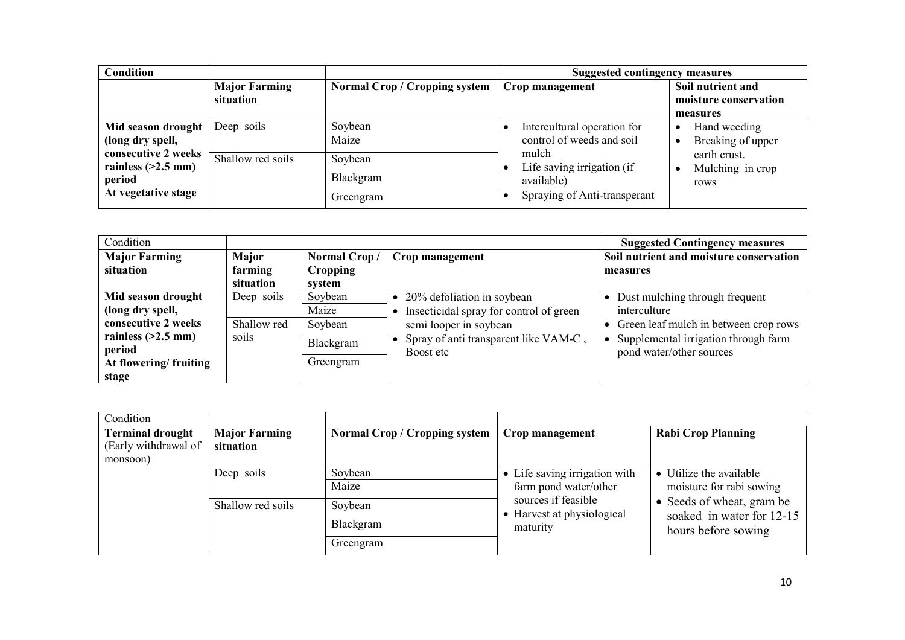| Condition                                                                    |                                   |                                      | <b>Suggested contingency measures</b>                                             |                                                        |
|------------------------------------------------------------------------------|-----------------------------------|--------------------------------------|-----------------------------------------------------------------------------------|--------------------------------------------------------|
|                                                                              | <b>Major Farming</b><br>situation | <b>Normal Crop / Cropping system</b> | Crop management                                                                   | Soil nutrient and<br>moisture conservation<br>measures |
| Mid season drought<br>(long dry spell,                                       | Deep soils                        | Soybean<br>Maize                     | Intercultural operation for<br>control of weeds and soil                          | Hand weeding<br>Breaking of upper                      |
| consecutive 2 weeks<br>rainless $(>2.5$ mm)<br>period<br>At vegetative stage | Shallow red soils                 | Soybean<br>Blackgram<br>Greengram    | mulch<br>Life saving irrigation (if<br>available)<br>Spraying of Anti-transperant | earth crust.<br>Mulching in crop<br>rows               |

| Condition             |             |                 |                                         | <b>Suggested Contingency measures</b>   |
|-----------------------|-------------|-----------------|-----------------------------------------|-----------------------------------------|
| <b>Major Farming</b>  | Major       | Normal Crop/    | Crop management                         | Soil nutrient and moisture conservation |
| situation             | farming     | <b>Cropping</b> |                                         | measures                                |
|                       | situation   | system          |                                         |                                         |
| Mid season drought    | Deep soils  | Soybean         | 20% defoliation in soybean              | Dust mulching through frequent          |
| (long dry spell,      |             | Maize           | Insecticidal spray for control of green | interculture                            |
| consecutive 2 weeks   | Shallow red | Soybean         | semi looper in soybean                  | Green leaf mulch in between crop rows   |
| rainless $(>2.5$ mm)  | soils       | Blackgram       | Spray of anti transparent like VAM-C,   | Supplemental irrigation through farm    |
| period                |             |                 | Boost etc                               | pond water/other sources                |
| At flowering/fruiting |             | Greengram       |                                         |                                         |
| stage                 |             |                 |                                         |                                         |

| Condition                                                   |                                   |                                      |                                                               |                                                                                                                                      |
|-------------------------------------------------------------|-----------------------------------|--------------------------------------|---------------------------------------------------------------|--------------------------------------------------------------------------------------------------------------------------------------|
| <b>Terminal drought</b><br>(Early withdrawal of<br>monsoon) | <b>Major Farming</b><br>situation | <b>Normal Crop / Cropping system</b> | Crop management                                               | <b>Rabi Crop Planning</b>                                                                                                            |
|                                                             | Deep soils                        | Soybean<br>Maize                     | • Life saving irrigation with<br>farm pond water/other        | • Utilize the available<br>moisture for rabi sowing<br>• Seeds of wheat, gram be<br>soaked in water for 12-15<br>hours before sowing |
|                                                             | Shallow red soils                 | Soybean<br>Blackgram                 | sources if feasible<br>• Harvest at physiological<br>maturity |                                                                                                                                      |
|                                                             |                                   | Greengram                            |                                                               |                                                                                                                                      |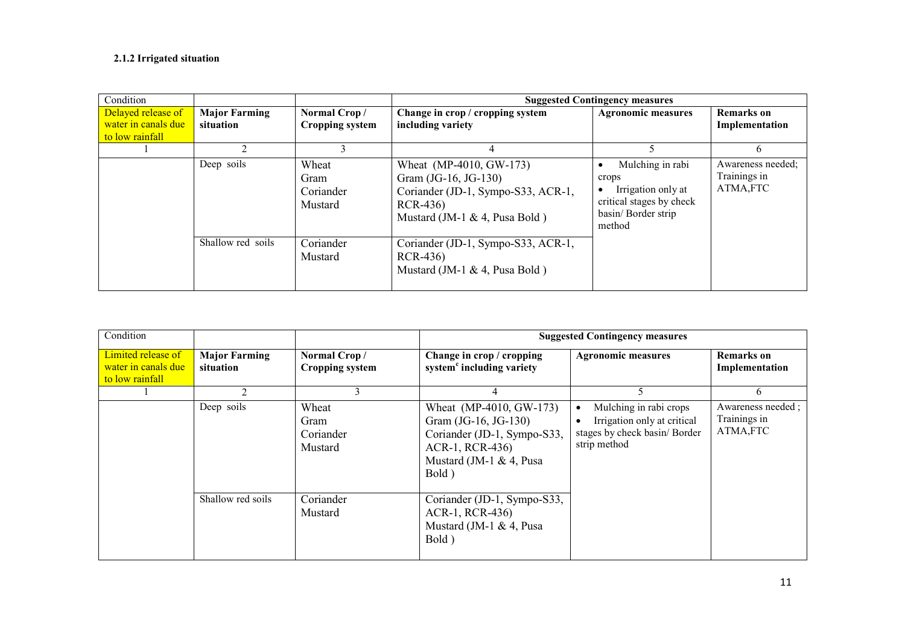#### 2.1.2 Irrigated situation

| Condition                                                    |                                   |                                        |                                                                                                                                    | <b>Suggested Contingency measures</b>                                                                        |                                               |
|--------------------------------------------------------------|-----------------------------------|----------------------------------------|------------------------------------------------------------------------------------------------------------------------------------|--------------------------------------------------------------------------------------------------------------|-----------------------------------------------|
| Delayed release of<br>water in canals due<br>to low rainfall | <b>Major Farming</b><br>situation | Normal Crop/<br><b>Cropping system</b> | Change in crop / cropping system<br>including variety                                                                              | <b>Agronomic measures</b>                                                                                    | <b>Remarks</b> on<br>Implementation           |
|                                                              |                                   |                                        |                                                                                                                                    |                                                                                                              | 6                                             |
|                                                              | Deep soils                        | Wheat<br>Gram<br>Coriander<br>Mustard  | Wheat (MP-4010, GW-173)<br>Gram (JG-16, JG-130)<br>Coriander (JD-1, Sympo-S33, ACR-1,<br>RCR-436)<br>Mustard (JM-1 & 4, Pusa Bold) | Mulching in rabi<br>crops<br>Irrigation only at<br>critical stages by check<br>basin/ Border strip<br>method | Awareness needed;<br>Trainings in<br>ATMA,FTC |
|                                                              | Shallow red soils                 | Coriander<br>Mustard                   | Coriander (JD-1, Sympo-S33, ACR-1,<br>RCR-436)<br>Mustard (JM-1 & 4, Pusa Bold)                                                    |                                                                                                              |                                               |

| Condition                                                    |                                   |                                        | <b>Suggested Contingency measures</b>                                                                                                    |                                                                                                                    |                                               |
|--------------------------------------------------------------|-----------------------------------|----------------------------------------|------------------------------------------------------------------------------------------------------------------------------------------|--------------------------------------------------------------------------------------------------------------------|-----------------------------------------------|
| Limited release of<br>water in canals due<br>to low rainfall | <b>Major Farming</b><br>situation | Normal Crop/<br><b>Cropping system</b> | Change in crop / cropping<br>system <sup>c</sup> including variety                                                                       | <b>Agronomic measures</b>                                                                                          | <b>Remarks</b> on<br>Implementation           |
|                                                              | $\mathfrak{D}$                    | 3                                      | 4                                                                                                                                        |                                                                                                                    | 6                                             |
|                                                              | Deep soils                        | Wheat<br>Gram<br>Coriander<br>Mustard  | Wheat (MP-4010, GW-173)<br>Gram (JG-16, JG-130)<br>Coriander (JD-1, Sympo-S33,<br>ACR-1, RCR-436)<br>Mustard (JM-1 $& 4$ , Pusa<br>Bold) | Mulching in rabi crops<br>$\bullet$<br>Irrigation only at critical<br>stages by check basin/Border<br>strip method | Awareness needed;<br>Trainings in<br>ATMA,FTC |
|                                                              | Shallow red soils                 | Coriander<br>Mustard                   | Coriander (JD-1, Sympo-S33,<br>ACR-1, RCR-436)<br>Mustard (JM-1 & 4, Pusa<br>Bold)                                                       |                                                                                                                    |                                               |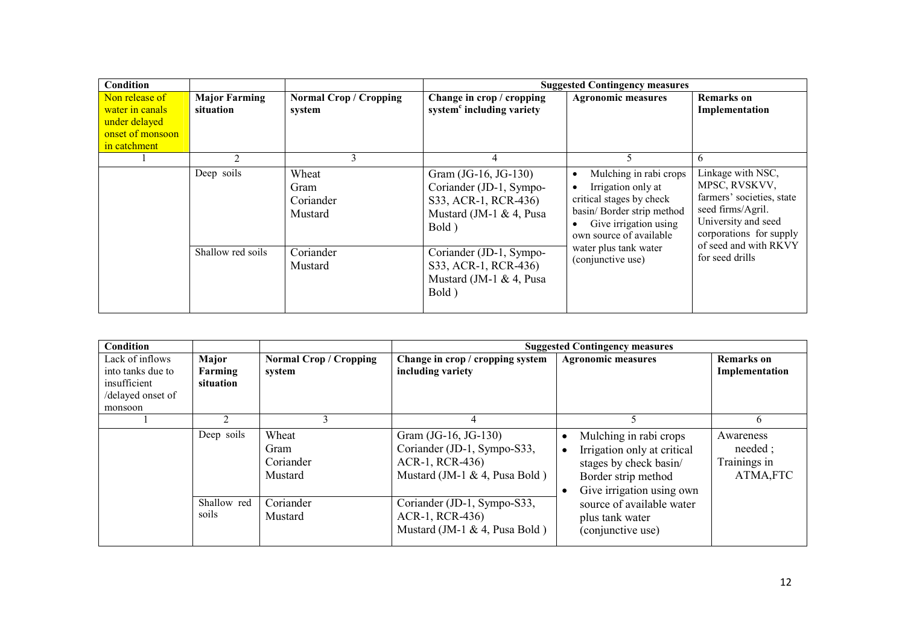| Condition                                                                              |                                   |                                         |                                                                                                                | <b>Suggested Contingency measures</b>                                                                                                                           |                                                                                                                                        |
|----------------------------------------------------------------------------------------|-----------------------------------|-----------------------------------------|----------------------------------------------------------------------------------------------------------------|-----------------------------------------------------------------------------------------------------------------------------------------------------------------|----------------------------------------------------------------------------------------------------------------------------------------|
| Non release of<br>water in canals<br>under delayed<br>onset of monsoon<br>in catchment | <b>Major Farming</b><br>situation | <b>Normal Crop / Cropping</b><br>system | Change in crop / cropping<br>system <sup>c</sup> including variety                                             | <b>Agronomic measures</b>                                                                                                                                       | <b>Remarks</b> on<br>Implementation                                                                                                    |
|                                                                                        | 2                                 |                                         | 4                                                                                                              | C.                                                                                                                                                              | 6                                                                                                                                      |
|                                                                                        | Deep soils                        | Wheat<br>Gram<br>Coriander<br>Mustard   | Gram (JG-16, JG-130)<br>Coriander (JD-1, Sympo-<br>S33, ACR-1, RCR-436)<br>Mustard (JM-1 $\&$ 4, Pusa<br>Bold) | Mulching in rabi crops<br>٠<br>Irrigation only at<br>critical stages by check<br>basin/ Border strip method<br>Give irrigation using<br>own source of available | Linkage with NSC,<br>MPSC, RVSKVV,<br>farmers' societies, state<br>seed firms/Agril.<br>University and seed<br>corporations for supply |
| Shallow red soils                                                                      |                                   | Coriander<br>Mustard                    | Coriander (JD-1, Sympo-<br>S33, ACR-1, RCR-436)<br>Mustard (JM-1 $\&$ 4, Pusa<br>Bold)                         | water plus tank water<br>(conjunctive use)                                                                                                                      | of seed and with RKVY<br>for seed drills                                                                                               |

| <b>Condition</b>                                                                     |                               |                                         | <b>Suggested Contingency measures</b>                                                                      |                                                                                                                                     |                                                    |
|--------------------------------------------------------------------------------------|-------------------------------|-----------------------------------------|------------------------------------------------------------------------------------------------------------|-------------------------------------------------------------------------------------------------------------------------------------|----------------------------------------------------|
| Lack of inflows<br>into tanks due to<br>insufficient<br>/delayed onset of<br>monsoon | Major<br>Farming<br>situation | <b>Normal Crop / Cropping</b><br>system | Change in crop / cropping system<br>including variety                                                      | <b>Agronomic measures</b>                                                                                                           | <b>Remarks</b> on<br>Implementation                |
|                                                                                      | $\mathcal{P}$                 | 3                                       | 4                                                                                                          |                                                                                                                                     | 6                                                  |
|                                                                                      | Deep soils                    | Wheat<br>Gram<br>Coriander<br>Mustard   | Gram (JG-16, JG-130)<br>Coriander (JD-1, Sympo-S33,<br>ACR-1, RCR-436)<br>Mustard (JM-1 $\&$ 4, Pusa Bold) | Mulching in rabi crops<br>Irrigation only at critical<br>stages by check basin/<br>Border strip method<br>Give irrigation using own | Awareness<br>needed :<br>Trainings in<br>ATMA, FTC |
|                                                                                      | Shallow red<br>soils          | Coriander<br>Mustard                    | Coriander (JD-1, Sympo-S33,<br>ACR-1, RCR-436)<br>Mustard (JM-1 $\&$ 4, Pusa Bold)                         | source of available water<br>plus tank water<br>(conjunctive use)                                                                   |                                                    |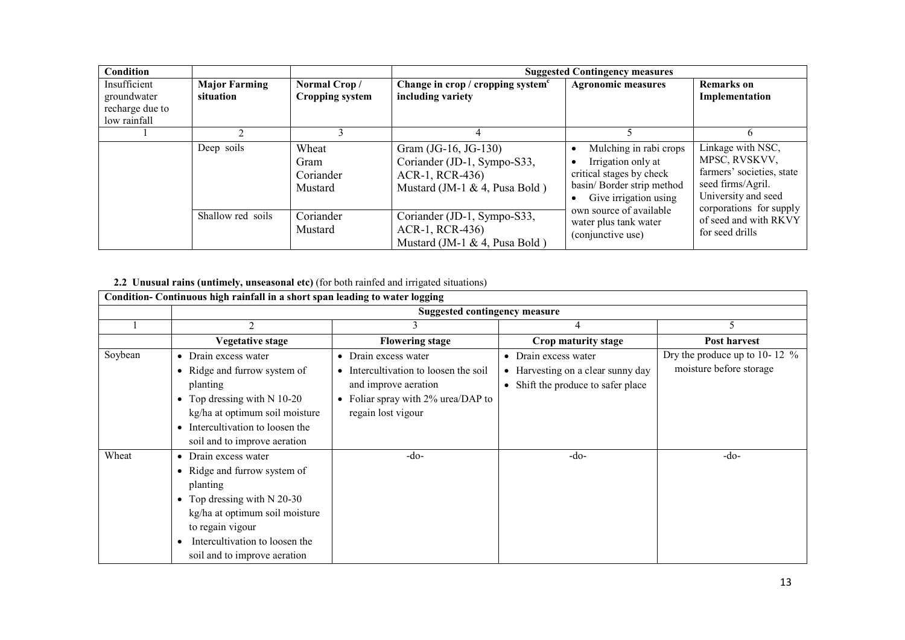| <b>Condition</b> |                      |                        |                                      | <b>Suggested Contingency measures</b>            |                                          |
|------------------|----------------------|------------------------|--------------------------------------|--------------------------------------------------|------------------------------------------|
| Insufficient     | <b>Major Farming</b> | Normal Crop/           | Change in crop / cropping system $c$ | <b>Agronomic measures</b>                        | <b>Remarks</b> on                        |
| groundwater      | situation            | <b>Cropping system</b> | including variety                    |                                                  | Implementation                           |
| recharge due to  |                      |                        |                                      |                                                  |                                          |
| low rainfall     |                      |                        |                                      |                                                  |                                          |
|                  |                      |                        |                                      |                                                  | 6                                        |
|                  | Deep soils           | Wheat                  | Gram (JG-16, JG-130)                 | Mulching in rabi crops                           | Linkage with NSC,                        |
|                  |                      | Gram                   | Coriander (JD-1, Sympo-S33,          | Irrigation only at                               | MPSC, RVSKVV,                            |
|                  |                      | Coriander              | ACR-1, RCR-436)                      | critical stages by check                         | farmers' societies, state                |
|                  |                      | Mustard                | Mustard (JM-1 & 4, Pusa Bold)        | basin/ Border strip method                       | seed firms/Agril.<br>University and seed |
|                  |                      |                        |                                      | Give irrigation using<br>own source of available | corporations for supply                  |
|                  | Shallow red soils    | Coriander              | Coriander (JD-1, Sympo-S33,          | water plus tank water                            | of seed and with RKVY                    |
|                  |                      | Mustard                | ACR-1, RCR-436)                      | (conjunctive use)                                | for seed drills                          |
|                  |                      |                        | Mustard (JM-1 & 4, Pusa Bold)        |                                                  |                                          |

## 2.2 Unusual rains (untimely, unseasonal etc) (for both rainfed and irrigated situations)

|         | Condition-Continuous high rainfall in a short span leading to water logging                                                                                                                                               |                                                                                                                                                                    |                                                                                                 |                                                            |  |  |  |  |
|---------|---------------------------------------------------------------------------------------------------------------------------------------------------------------------------------------------------------------------------|--------------------------------------------------------------------------------------------------------------------------------------------------------------------|-------------------------------------------------------------------------------------------------|------------------------------------------------------------|--|--|--|--|
|         | <b>Suggested contingency measure</b>                                                                                                                                                                                      |                                                                                                                                                                    |                                                                                                 |                                                            |  |  |  |  |
|         | 2                                                                                                                                                                                                                         |                                                                                                                                                                    |                                                                                                 |                                                            |  |  |  |  |
|         | <b>Vegetative stage</b>                                                                                                                                                                                                   | <b>Flowering stage</b>                                                                                                                                             | Crop maturity stage                                                                             | <b>Post harvest</b>                                        |  |  |  |  |
| Soybean | • Drain excess water<br>• Ridge and furrow system of<br>planting<br>• Top dressing with $N$ 10-20<br>kg/ha at optimum soil moisture<br>• Intercultivation to loosen the<br>soil and to improve aeration                   | Drain excess water<br>٠<br>Intercultivation to loosen the soil<br>$\bullet$<br>and improve aeration<br>• Foliar spray with $2\%$ urea/DAP to<br>regain lost vigour | • Drain excess water<br>• Harvesting on a clear sunny day<br>• Shift the produce to safer place | Dry the produce up to 10-12 $%$<br>moisture before storage |  |  |  |  |
| Wheat   | • Drain excess water<br>• Ridge and furrow system of<br>planting<br>• Top dressing with $N$ 20-30<br>kg/ha at optimum soil moisture<br>to regain vigour<br>Intercultivation to loosen the<br>soil and to improve aeration | $-do-$                                                                                                                                                             | $-do-$                                                                                          | $-do-$                                                     |  |  |  |  |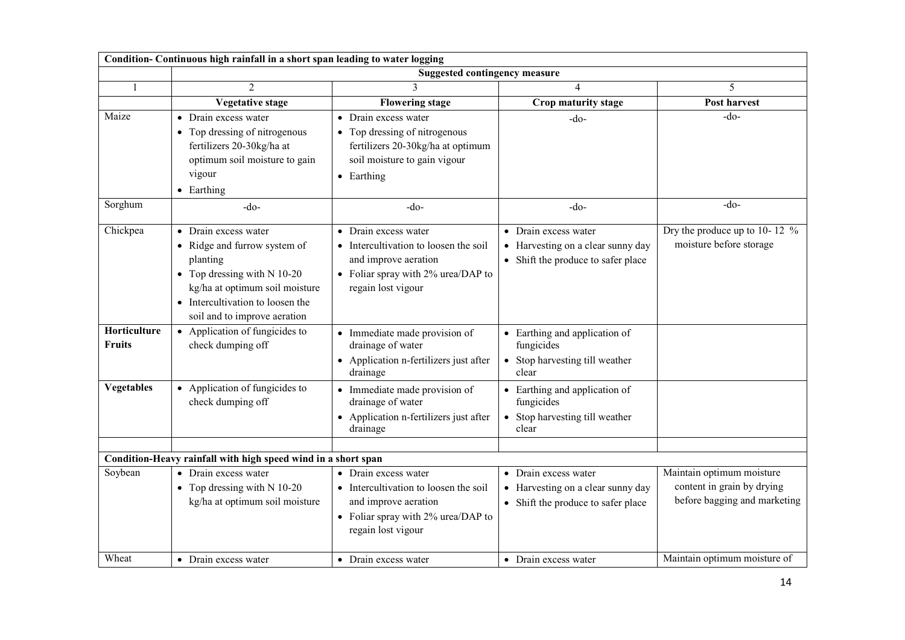|                               | Condition- Continuous high rainfall in a short span leading to water logging                                                                                                                            |                                                                                                                                                   |                                                                                                 |                                                                                         |
|-------------------------------|---------------------------------------------------------------------------------------------------------------------------------------------------------------------------------------------------------|---------------------------------------------------------------------------------------------------------------------------------------------------|-------------------------------------------------------------------------------------------------|-----------------------------------------------------------------------------------------|
|                               |                                                                                                                                                                                                         | <b>Suggested contingency measure</b>                                                                                                              |                                                                                                 |                                                                                         |
| 1                             | $\mathfrak{D}$                                                                                                                                                                                          | $\mathbf{3}$                                                                                                                                      | 4                                                                                               | 5                                                                                       |
|                               | <b>Vegetative stage</b>                                                                                                                                                                                 | <b>Flowering stage</b>                                                                                                                            | Crop maturity stage                                                                             | Post harvest                                                                            |
| Maize                         | • Drain excess water<br>• Top dressing of nitrogenous<br>fertilizers 20-30kg/ha at<br>optimum soil moisture to gain<br>vigour<br>• Earthing                                                             | Drain excess water<br>$\bullet$<br>Top dressing of nitrogenous<br>fertilizers 20-30kg/ha at optimum<br>soil moisture to gain vigour<br>• Earthing | $-do-$                                                                                          | -do-                                                                                    |
| Sorghum                       | $-do-$                                                                                                                                                                                                  | $-do-$                                                                                                                                            | $-do-$                                                                                          | $-do-$                                                                                  |
| Chickpea                      | • Drain excess water<br>• Ridge and furrow system of<br>planting<br>• Top dressing with $N$ 10-20<br>kg/ha at optimum soil moisture<br>• Intercultivation to loosen the<br>soil and to improve aeration | • Drain excess water<br>• Intercultivation to loosen the soil<br>and improve aeration<br>• Foliar spray with 2% urea/DAP to<br>regain lost vigour | • Drain excess water<br>• Harvesting on a clear sunny day<br>• Shift the produce to safer place | Dry the produce up to 10-12 $%$<br>moisture before storage                              |
| Horticulture<br><b>Fruits</b> | • Application of fungicides to<br>check dumping off                                                                                                                                                     | • Immediate made provision of<br>drainage of water<br>Application n-fertilizers just after<br>drainage                                            | • Earthing and application of<br>fungicides<br>• Stop harvesting till weather<br>clear          |                                                                                         |
| <b>Vegetables</b>             | • Application of fungicides to<br>check dumping off                                                                                                                                                     | Immediate made provision of<br>drainage of water<br>Application n-fertilizers just after<br>drainage                                              | • Earthing and application of<br>fungicides<br>• Stop harvesting till weather<br>clear          |                                                                                         |
|                               | Condition-Heavy rainfall with high speed wind in a short span                                                                                                                                           |                                                                                                                                                   |                                                                                                 |                                                                                         |
| Soybean                       | • Drain excess water<br>• Top dressing with $N$ 10-20<br>kg/ha at optimum soil moisture                                                                                                                 | • Drain excess water<br>• Intercultivation to loosen the soil<br>and improve aeration<br>• Foliar spray with 2% urea/DAP to<br>regain lost vigour | • Drain excess water<br>• Harvesting on a clear sunny day<br>• Shift the produce to safer place | Maintain optimum moisture<br>content in grain by drying<br>before bagging and marketing |
| Wheat                         | • Drain excess water                                                                                                                                                                                    | • Drain excess water                                                                                                                              | • Drain excess water                                                                            | Maintain optimum moisture of                                                            |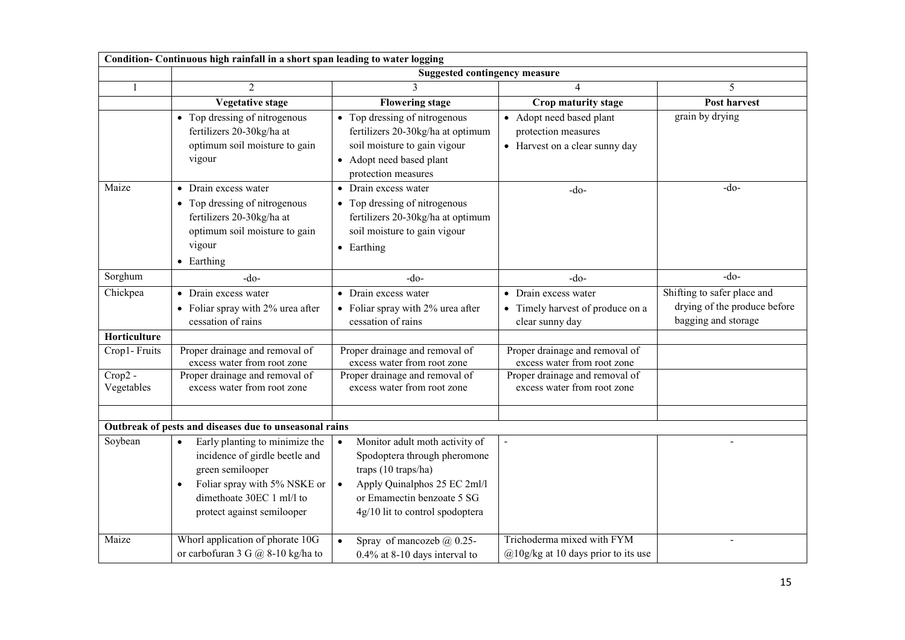|                         | Condition- Continuous high rainfall in a short span leading to water logging                                                                                                                                                                           |                                                                                                                                                                                                     |                                                                                   |                                                                                    |
|-------------------------|--------------------------------------------------------------------------------------------------------------------------------------------------------------------------------------------------------------------------------------------------------|-----------------------------------------------------------------------------------------------------------------------------------------------------------------------------------------------------|-----------------------------------------------------------------------------------|------------------------------------------------------------------------------------|
|                         |                                                                                                                                                                                                                                                        | <b>Suggested contingency measure</b>                                                                                                                                                                |                                                                                   |                                                                                    |
|                         | $\mathcal{D}_{\alpha}$                                                                                                                                                                                                                                 |                                                                                                                                                                                                     | $\overline{4}$                                                                    | 5                                                                                  |
|                         | <b>Vegetative stage</b>                                                                                                                                                                                                                                | <b>Flowering stage</b>                                                                                                                                                                              | Crop maturity stage                                                               | Post harvest                                                                       |
|                         | • Top dressing of nitrogenous<br>fertilizers 20-30kg/ha at<br>optimum soil moisture to gain<br>vigour                                                                                                                                                  | • Top dressing of nitrogenous<br>fertilizers 20-30kg/ha at optimum<br>soil moisture to gain vigour<br>• Adopt need based plant<br>protection measures                                               | • Adopt need based plant<br>protection measures<br>• Harvest on a clear sunny day | grain by drying                                                                    |
| Maize                   | • Drain excess water<br>• Top dressing of nitrogenous<br>fertilizers 20-30kg/ha at<br>optimum soil moisture to gain<br>vigour<br>• Earthing                                                                                                            | • Drain excess water<br>• Top dressing of nitrogenous<br>fertilizers 20-30kg/ha at optimum<br>soil moisture to gain vigour<br>$\bullet$ Earthing                                                    | $-do-$                                                                            | $-do-$                                                                             |
| Sorghum                 | $-do-$                                                                                                                                                                                                                                                 | $-do-$                                                                                                                                                                                              | $-do-$                                                                            | $-do-$                                                                             |
| Chickpea                | • Drain excess water<br>• Foliar spray with 2% urea after<br>cessation of rains                                                                                                                                                                        | • Drain excess water<br>• Foliar spray with 2% urea after<br>cessation of rains                                                                                                                     | • Drain excess water<br>• Timely harvest of produce on a<br>clear sunny day       | Shifting to safer place and<br>drying of the produce before<br>bagging and storage |
| Horticulture            |                                                                                                                                                                                                                                                        |                                                                                                                                                                                                     |                                                                                   |                                                                                    |
| Crop1-Fruits            | Proper drainage and removal of<br>excess water from root zone                                                                                                                                                                                          | Proper drainage and removal of<br>excess water from root zone                                                                                                                                       | Proper drainage and removal of<br>excess water from root zone                     |                                                                                    |
| $Crop2 -$<br>Vegetables | Proper drainage and removal of<br>excess water from root zone                                                                                                                                                                                          | Proper drainage and removal of<br>excess water from root zone                                                                                                                                       | Proper drainage and removal of<br>excess water from root zone                     |                                                                                    |
|                         |                                                                                                                                                                                                                                                        |                                                                                                                                                                                                     |                                                                                   |                                                                                    |
| Soybean                 | Outbreak of pests and diseases due to unseasonal rains<br>Early planting to minimize the<br>$\bullet$<br>incidence of girdle beetle and<br>green semilooper<br>Foliar spray with 5% NSKE or<br>dimethoate 30EC 1 ml/l to<br>protect against semilooper | Monitor adult moth activity of<br>$\bullet$<br>Spodoptera through pheromone<br>traps (10 traps/ha)<br>Apply Quinalphos 25 EC 2ml/l<br>or Emamectin benzoate 5 SG<br>4g/10 lit to control spodoptera |                                                                                   |                                                                                    |
| Maize                   | Whorl application of phorate 10G<br>or carbofuran 3 G $\omega$ 8-10 kg/ha to                                                                                                                                                                           | Spray of mancozeb @ 0.25-<br>$\bullet$<br>$0.4\%$ at 8-10 days interval to                                                                                                                          | Trichoderma mixed with FYM<br>$@10g/kg$ at 10 days prior to its use               |                                                                                    |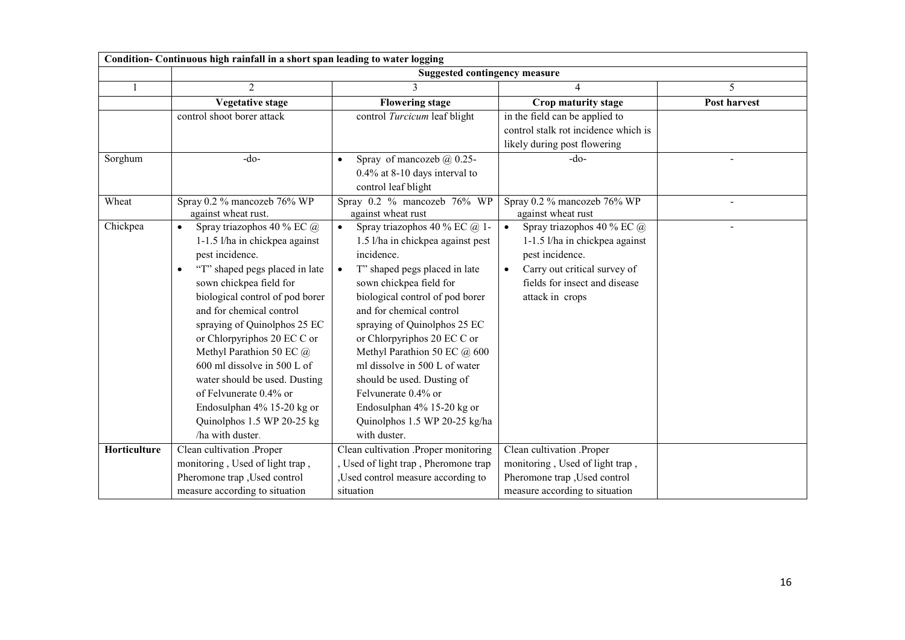|              | Condition- Continuous high rainfall in a short span leading to water logging                                                                                                                                                                                                                                                                                                                                                                                                                  |                                                                                                                                                                                                                                                                                                                                                                                                                                                                                              |                                                                                                                                                                                  |                     |  |  |
|--------------|-----------------------------------------------------------------------------------------------------------------------------------------------------------------------------------------------------------------------------------------------------------------------------------------------------------------------------------------------------------------------------------------------------------------------------------------------------------------------------------------------|----------------------------------------------------------------------------------------------------------------------------------------------------------------------------------------------------------------------------------------------------------------------------------------------------------------------------------------------------------------------------------------------------------------------------------------------------------------------------------------------|----------------------------------------------------------------------------------------------------------------------------------------------------------------------------------|---------------------|--|--|
|              |                                                                                                                                                                                                                                                                                                                                                                                                                                                                                               | <b>Suggested contingency measure</b>                                                                                                                                                                                                                                                                                                                                                                                                                                                         |                                                                                                                                                                                  |                     |  |  |
|              | 2                                                                                                                                                                                                                                                                                                                                                                                                                                                                                             | 3                                                                                                                                                                                                                                                                                                                                                                                                                                                                                            | 4                                                                                                                                                                                | 5                   |  |  |
|              | <b>Vegetative stage</b>                                                                                                                                                                                                                                                                                                                                                                                                                                                                       | <b>Flowering stage</b>                                                                                                                                                                                                                                                                                                                                                                                                                                                                       | Crop maturity stage                                                                                                                                                              | <b>Post harvest</b> |  |  |
|              | control shoot borer attack                                                                                                                                                                                                                                                                                                                                                                                                                                                                    | control Turcicum leaf blight                                                                                                                                                                                                                                                                                                                                                                                                                                                                 | in the field can be applied to<br>control stalk rot incidence which is<br>likely during post flowering                                                                           |                     |  |  |
| Sorghum      | $-do-$                                                                                                                                                                                                                                                                                                                                                                                                                                                                                        | Spray of mancozeb $\omega$ 0.25-<br>$\bullet$<br>0.4% at 8-10 days interval to<br>control leaf blight                                                                                                                                                                                                                                                                                                                                                                                        | $-do-$                                                                                                                                                                           |                     |  |  |
| Wheat        | Spray 0.2 % mancozeb 76% WP<br>against wheat rust.                                                                                                                                                                                                                                                                                                                                                                                                                                            | Spray 0.2 % mancozeb 76% WP<br>against wheat rust                                                                                                                                                                                                                                                                                                                                                                                                                                            | Spray 0.2 % mancozeb 76% WP<br>against wheat rust                                                                                                                                |                     |  |  |
| Chickpea     | Spray triazophos 40 % EC @<br>$\bullet$<br>1-1.5 l/ha in chickpea against<br>pest incidence.<br>"T" shaped pegs placed in late<br>sown chickpea field for<br>biological control of pod borer<br>and for chemical control<br>spraying of Quinolphos 25 EC<br>or Chlorpyriphos 20 EC C or<br>Methyl Parathion 50 EC @<br>600 ml dissolve in 500 L of<br>water should be used. Dusting<br>of Felvunerate 0.4% or<br>Endosulphan 4% 15-20 kg or<br>Quinolphos 1.5 WP 20-25 kg<br>/ha with duster. | Spray triazophos 40 % EC @ 1-<br>$\bullet$<br>1.5 l/ha in chickpea against pest<br>incidence.<br>T" shaped pegs placed in late<br>sown chickpea field for<br>biological control of pod borer<br>and for chemical control<br>spraying of Quinolphos 25 EC<br>or Chlorpyriphos 20 EC C or<br>Methyl Parathion 50 EC @ 600<br>ml dissolve in 500 L of water<br>should be used. Dusting of<br>Felvunerate 0.4% or<br>Endosulphan 4% 15-20 kg or<br>Quinolphos 1.5 WP 20-25 kg/ha<br>with duster. | Spray triazophos 40 % EC @<br>$\bullet$<br>1-1.5 l/ha in chickpea against<br>pest incidence.<br>Carry out critical survey of<br>fields for insect and disease<br>attack in crops |                     |  |  |
| Horticulture | Clean cultivation .Proper<br>monitoring, Used of light trap,<br>Pheromone trap , Used control<br>measure according to situation                                                                                                                                                                                                                                                                                                                                                               | Clean cultivation .Proper monitoring<br>Used of light trap, Pheromone trap<br>Used control measure according to<br>situation                                                                                                                                                                                                                                                                                                                                                                 | Clean cultivation .Proper<br>monitoring, Used of light trap,<br>Pheromone trap , Used control<br>measure according to situation                                                  |                     |  |  |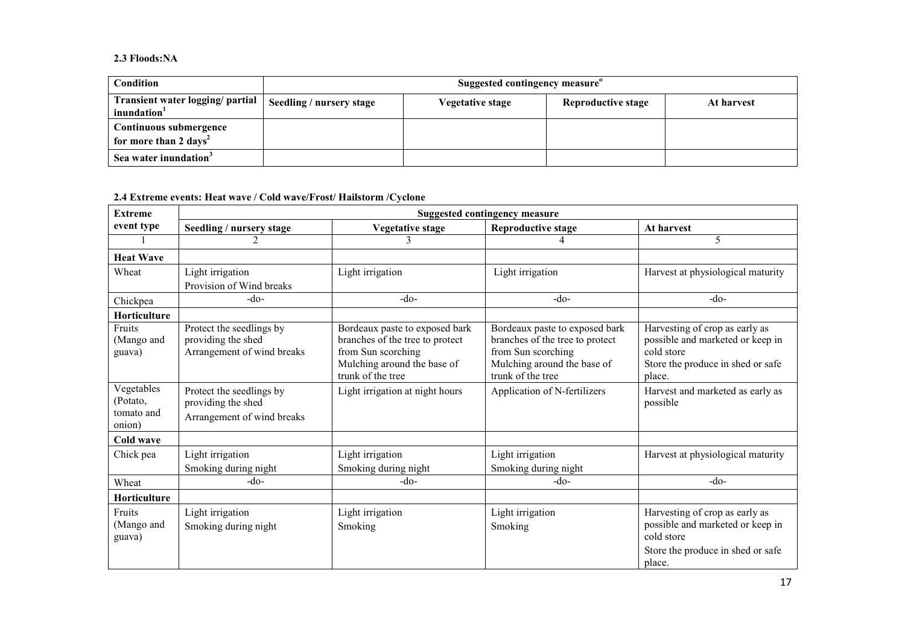#### 2.3 Floods:NA

| Condition                                                   | Suggested contingency measure |                         |                    |            |  |
|-------------------------------------------------------------|-------------------------------|-------------------------|--------------------|------------|--|
| Transient water logging/ partial<br>inundation <sup>1</sup> | Seedling / nursery stage      | <b>Vegetative stage</b> | Reproductive stage | At harvest |  |
| Continuous submergence<br>for more than 2 days <sup>2</sup> |                               |                         |                    |            |  |
| Sea water inundation <sup>3</sup>                           |                               |                         |                    |            |  |

2.4 Extreme events: Heat wave / Cold wave/Frost/ Hailstorm /Cyclone

| <b>Extreme</b>                                 | <b>Suggested contingency measure</b>                                         |                                                                                                                                             |                                                                                                                                             |                                                                                                                                 |  |
|------------------------------------------------|------------------------------------------------------------------------------|---------------------------------------------------------------------------------------------------------------------------------------------|---------------------------------------------------------------------------------------------------------------------------------------------|---------------------------------------------------------------------------------------------------------------------------------|--|
| event type                                     | Seedling / nursery stage                                                     | <b>Vegetative stage</b>                                                                                                                     | <b>Reproductive stage</b>                                                                                                                   | At harvest                                                                                                                      |  |
|                                                |                                                                              | 3                                                                                                                                           |                                                                                                                                             | 5                                                                                                                               |  |
| <b>Heat Wave</b>                               |                                                                              |                                                                                                                                             |                                                                                                                                             |                                                                                                                                 |  |
| Wheat                                          | Light irrigation                                                             | Light irrigation                                                                                                                            | Light irrigation                                                                                                                            | Harvest at physiological maturity                                                                                               |  |
|                                                | Provision of Wind breaks                                                     |                                                                                                                                             |                                                                                                                                             |                                                                                                                                 |  |
| Chickpea                                       | $-do-$                                                                       | $-do-$                                                                                                                                      | $-do-$                                                                                                                                      | $-do-$                                                                                                                          |  |
| Horticulture                                   |                                                                              |                                                                                                                                             |                                                                                                                                             |                                                                                                                                 |  |
| Fruits<br>(Mango and<br>guava)                 | Protect the seedlings by<br>providing the shed<br>Arrangement of wind breaks | Bordeaux paste to exposed bark<br>branches of the tree to protect<br>from Sun scorching<br>Mulching around the base of<br>trunk of the tree | Bordeaux paste to exposed bark<br>branches of the tree to protect<br>from Sun scorching<br>Mulching around the base of<br>trunk of the tree | Harvesting of crop as early as<br>possible and marketed or keep in<br>cold store<br>Store the produce in shed or safe<br>place. |  |
| Vegetables<br>(Potato,<br>tomato and<br>onion) | Protect the seedlings by<br>providing the shed<br>Arrangement of wind breaks | Light irrigation at night hours                                                                                                             | Application of N-fertilizers                                                                                                                | Harvest and marketed as early as<br>possible                                                                                    |  |
| Cold wave                                      |                                                                              |                                                                                                                                             |                                                                                                                                             |                                                                                                                                 |  |
| Chick pea                                      | Light irrigation                                                             | Light irrigation                                                                                                                            | Light irrigation                                                                                                                            | Harvest at physiological maturity                                                                                               |  |
|                                                | Smoking during night                                                         | Smoking during night                                                                                                                        | Smoking during night                                                                                                                        |                                                                                                                                 |  |
| Wheat                                          | $-do-$                                                                       | $-do-$                                                                                                                                      | $-do-$                                                                                                                                      | $-do-$                                                                                                                          |  |
| Horticulture                                   |                                                                              |                                                                                                                                             |                                                                                                                                             |                                                                                                                                 |  |
| Fruits<br>(Mango and<br>guava)                 | Light irrigation<br>Smoking during night                                     | Light irrigation<br>Smoking                                                                                                                 | Light irrigation<br>Smoking                                                                                                                 | Harvesting of crop as early as<br>possible and marketed or keep in<br>cold store<br>Store the produce in shed or safe<br>place. |  |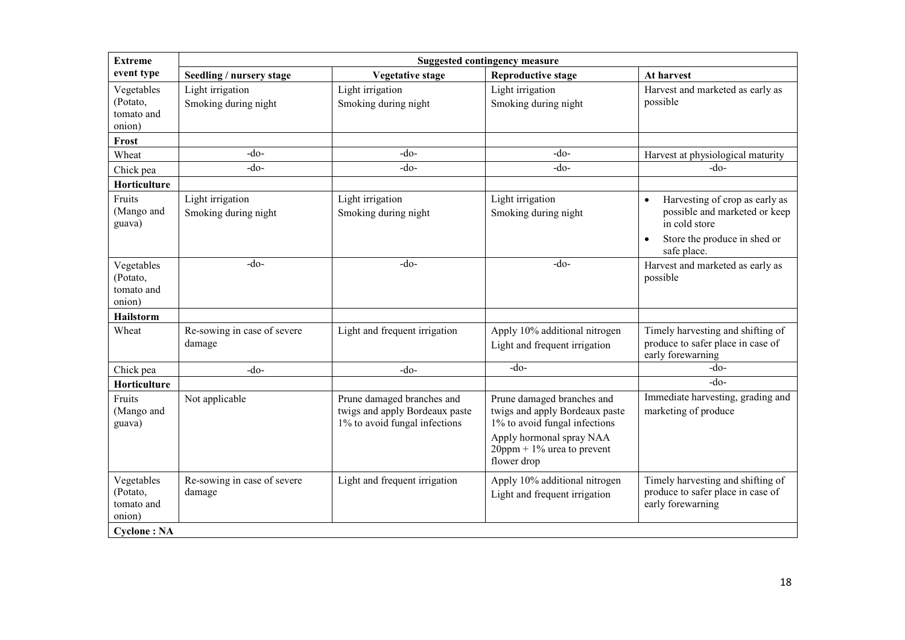| <b>Extreme</b>                                 | <b>Suggested contingency measure</b>     |                                                                                               |                                                                                                                                                                           |                                                                                                                                                           |  |
|------------------------------------------------|------------------------------------------|-----------------------------------------------------------------------------------------------|---------------------------------------------------------------------------------------------------------------------------------------------------------------------------|-----------------------------------------------------------------------------------------------------------------------------------------------------------|--|
| event type                                     | Seedling / nursery stage                 | <b>Vegetative stage</b>                                                                       | <b>Reproductive stage</b>                                                                                                                                                 | At harvest                                                                                                                                                |  |
| Vegetables<br>(Potato,<br>tomato and<br>onion) | Light irrigation<br>Smoking during night | Light irrigation<br>Smoking during night                                                      | Light irrigation<br>Smoking during night                                                                                                                                  | Harvest and marketed as early as<br>possible                                                                                                              |  |
| Frost                                          |                                          |                                                                                               |                                                                                                                                                                           |                                                                                                                                                           |  |
| Wheat                                          | $-do-$                                   | $-do-$                                                                                        | $-do-$                                                                                                                                                                    | Harvest at physiological maturity                                                                                                                         |  |
| Chick pea                                      | $-do-$                                   | $-do-$                                                                                        | -do-                                                                                                                                                                      | $-do-$                                                                                                                                                    |  |
| Horticulture                                   |                                          |                                                                                               |                                                                                                                                                                           |                                                                                                                                                           |  |
| Fruits<br>(Mango and<br>guava)                 | Light irrigation<br>Smoking during night | Light irrigation<br>Smoking during night                                                      | Light irrigation<br>Smoking during night                                                                                                                                  | Harvesting of crop as early as<br>$\bullet$<br>possible and marketed or keep<br>in cold store<br>Store the produce in shed or<br>$\bullet$<br>safe place. |  |
| Vegetables<br>(Potato,<br>tomato and<br>onion) | $-do-$                                   | $-do-$                                                                                        | $-do-$                                                                                                                                                                    | Harvest and marketed as early as<br>possible                                                                                                              |  |
| Hailstorm                                      |                                          |                                                                                               |                                                                                                                                                                           |                                                                                                                                                           |  |
| Wheat                                          | Re-sowing in case of severe<br>damage    | Light and frequent irrigation                                                                 | Apply 10% additional nitrogen<br>Light and frequent irrigation                                                                                                            | Timely harvesting and shifting of<br>produce to safer place in case of<br>early forewarning                                                               |  |
| Chick pea                                      | $-do-$                                   | $-do-$                                                                                        | $-do-$                                                                                                                                                                    | $-do-$                                                                                                                                                    |  |
| Horticulture                                   |                                          |                                                                                               |                                                                                                                                                                           | $-do-$                                                                                                                                                    |  |
| Fruits<br>(Mango and<br>guava)                 | Not applicable                           | Prune damaged branches and<br>twigs and apply Bordeaux paste<br>1% to avoid fungal infections | Prune damaged branches and<br>twigs and apply Bordeaux paste<br>1% to avoid fungal infections<br>Apply hormonal spray NAA<br>$20$ ppm + 1% urea to prevent<br>flower drop | Immediate harvesting, grading and<br>marketing of produce                                                                                                 |  |
| Vegetables<br>(Potato,<br>tomato and<br>onion) | Re-sowing in case of severe<br>damage    | Light and frequent irrigation                                                                 | Apply 10% additional nitrogen<br>Light and frequent irrigation                                                                                                            | Timely harvesting and shifting of<br>produce to safer place in case of<br>early forewarning                                                               |  |
| <b>Cyclone: NA</b>                             |                                          |                                                                                               |                                                                                                                                                                           |                                                                                                                                                           |  |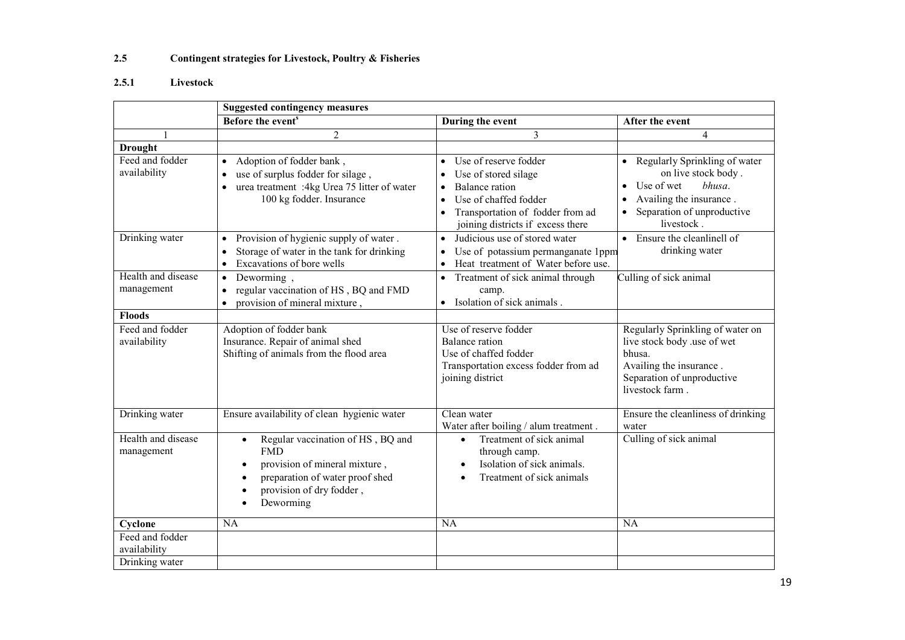#### 2.5Contingent strategies for Livestock, Poultry & Fisheries

# 2.5.1 Livestock

|                                                   | <b>Suggested contingency measures</b>                                                                                                                                          |                                                                                                                                                                                       |                                                                                                                                                                  |  |  |
|---------------------------------------------------|--------------------------------------------------------------------------------------------------------------------------------------------------------------------------------|---------------------------------------------------------------------------------------------------------------------------------------------------------------------------------------|------------------------------------------------------------------------------------------------------------------------------------------------------------------|--|--|
|                                                   | Before the event <sup>s</sup>                                                                                                                                                  | During the event                                                                                                                                                                      | After the event                                                                                                                                                  |  |  |
|                                                   | $\overline{2}$                                                                                                                                                                 | $\overline{3}$                                                                                                                                                                        | $\overline{4}$                                                                                                                                                   |  |  |
| <b>Drought</b>                                    |                                                                                                                                                                                |                                                                                                                                                                                       |                                                                                                                                                                  |  |  |
| Feed and fodder<br>availability                   | Adoption of fodder bank,<br>٠<br>use of surplus fodder for silage,<br>urea treatment :4kg Urea 75 litter of water<br>100 kg fodder. Insurance                                  | Use of reserve fodder<br>$\bullet$<br>Use of stored silage<br><b>Balance</b> ration<br>Use of chaffed fodder<br>Transportation of fodder from ad<br>joining districts if excess there | Regularly Sprinkling of water<br>on live stock body.<br>Use of wet<br>bhusa.<br>$\bullet$<br>Availing the insurance.<br>Separation of unproductive<br>livestock. |  |  |
| Drinking water                                    | Provision of hygienic supply of water.<br>$\bullet$<br>Storage of water in the tank for drinking<br>$\bullet$<br>Excavations of bore wells<br>$\bullet$                        | Judicious use of stored water<br>$\bullet$<br>Use of potassium permanganate 1ppm<br>Heat treatment of Water before use.                                                               | • Ensure the cleanlinell of<br>drinking water                                                                                                                    |  |  |
| Health and disease<br>management                  | Deworming,<br>$\bullet$<br>regular vaccination of HS, BQ and FMD<br>$\bullet$<br>provision of mineral mixture,<br>$\bullet$                                                    | Treatment of sick animal through<br>$\bullet$<br>camp.<br>Isolation of sick animals.<br>$\bullet$                                                                                     | Culling of sick animal                                                                                                                                           |  |  |
| <b>Floods</b>                                     |                                                                                                                                                                                |                                                                                                                                                                                       |                                                                                                                                                                  |  |  |
| Feed and fodder<br>availability                   | Adoption of fodder bank<br>Insurance. Repair of animal shed<br>Shifting of animals from the flood area                                                                         | Use of reserve fodder<br><b>Balance</b> ration<br>Use of chaffed fodder<br>Transportation excess fodder from ad<br>joining district                                                   | Regularly Sprinkling of water on<br>live stock body .use of wet<br>bhusa.<br>Availing the insurance.<br>Separation of unproductive<br>livestock farm.            |  |  |
| Drinking water                                    | Ensure availability of clean hygienic water                                                                                                                                    | Clean water<br>Water after boiling / alum treatment.                                                                                                                                  | Ensure the cleanliness of drinking<br>water                                                                                                                      |  |  |
| Health and disease<br>management                  | Regular vaccination of HS, BQ and<br>$\bullet$<br><b>FMD</b><br>provision of mineral mixture,<br>٠<br>preparation of water proof shed<br>provision of dry fodder,<br>Deworming | Treatment of sick animal<br>$\bullet$<br>through camp.<br>Isolation of sick animals.<br>$\bullet$<br>Treatment of sick animals<br>$\bullet$                                           | Culling of sick animal                                                                                                                                           |  |  |
| Cyclone                                           | <b>NA</b>                                                                                                                                                                      | <b>NA</b>                                                                                                                                                                             | <b>NA</b>                                                                                                                                                        |  |  |
| Feed and fodder<br>availability<br>Drinking water |                                                                                                                                                                                |                                                                                                                                                                                       |                                                                                                                                                                  |  |  |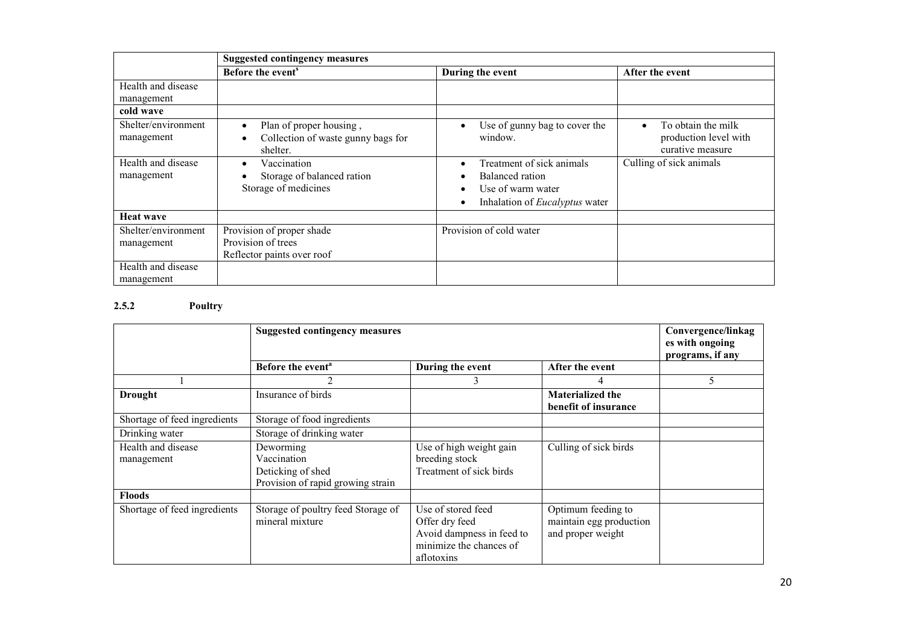|                                   | <b>Suggested contingency measures</b>                                         |                                                                                                                                                                 |                                                                 |  |
|-----------------------------------|-------------------------------------------------------------------------------|-----------------------------------------------------------------------------------------------------------------------------------------------------------------|-----------------------------------------------------------------|--|
|                                   | Before the event <sup>s</sup>                                                 | During the event                                                                                                                                                | After the event                                                 |  |
| Health and disease<br>management  |                                                                               |                                                                                                                                                                 |                                                                 |  |
| cold wave                         |                                                                               |                                                                                                                                                                 |                                                                 |  |
| Shelter/environment<br>management | Plan of proper housing,<br>Collection of waste gunny bags for<br>shelter.     | Use of gunny bag to cover the<br>$\bullet$<br>window.                                                                                                           | To obtain the milk<br>production level with<br>curative measure |  |
| Health and disease<br>management  | Vaccination<br>Storage of balanced ration<br>Storage of medicines             | Treatment of sick animals<br>$\bullet$<br>Balanced ration<br>$\epsilon$<br>Use of warm water<br>$\bullet$<br>Inhalation of <i>Eucalyptus</i> water<br>$\bullet$ | Culling of sick animals                                         |  |
| <b>Heat wave</b>                  |                                                                               |                                                                                                                                                                 |                                                                 |  |
| Shelter/environment<br>management | Provision of proper shade<br>Provision of trees<br>Reflector paints over roof | Provision of cold water                                                                                                                                         |                                                                 |  |
| Health and disease<br>management  |                                                                               |                                                                                                                                                                 |                                                                 |  |

### 2.5.2 Poultry

|                                  | <b>Suggested contingency measures</b>                                              |                                                                                                            |                                                                    | Convergence/linkag<br>es with ongoing<br>programs, if any |
|----------------------------------|------------------------------------------------------------------------------------|------------------------------------------------------------------------------------------------------------|--------------------------------------------------------------------|-----------------------------------------------------------|
|                                  | Before the event <sup>a</sup>                                                      | During the event                                                                                           | After the event                                                    |                                                           |
|                                  |                                                                                    | 3                                                                                                          | 4                                                                  | 5                                                         |
| <b>Drought</b>                   | Insurance of birds                                                                 |                                                                                                            | <b>Materialized the</b><br>benefit of insurance                    |                                                           |
| Shortage of feed ingredients     | Storage of food ingredients                                                        |                                                                                                            |                                                                    |                                                           |
| Drinking water                   | Storage of drinking water                                                          |                                                                                                            |                                                                    |                                                           |
| Health and disease<br>management | Deworming<br>Vaccination<br>Deticking of shed<br>Provision of rapid growing strain | Use of high weight gain<br>breeding stock<br>Treatment of sick birds                                       | Culling of sick birds                                              |                                                           |
| <b>Floods</b>                    |                                                                                    |                                                                                                            |                                                                    |                                                           |
| Shortage of feed ingredients     | Storage of poultry feed Storage of<br>mineral mixture                              | Use of stored feed<br>Offer dry feed<br>Avoid dampness in feed to<br>minimize the chances of<br>aflotoxins | Optimum feeding to<br>maintain egg production<br>and proper weight |                                                           |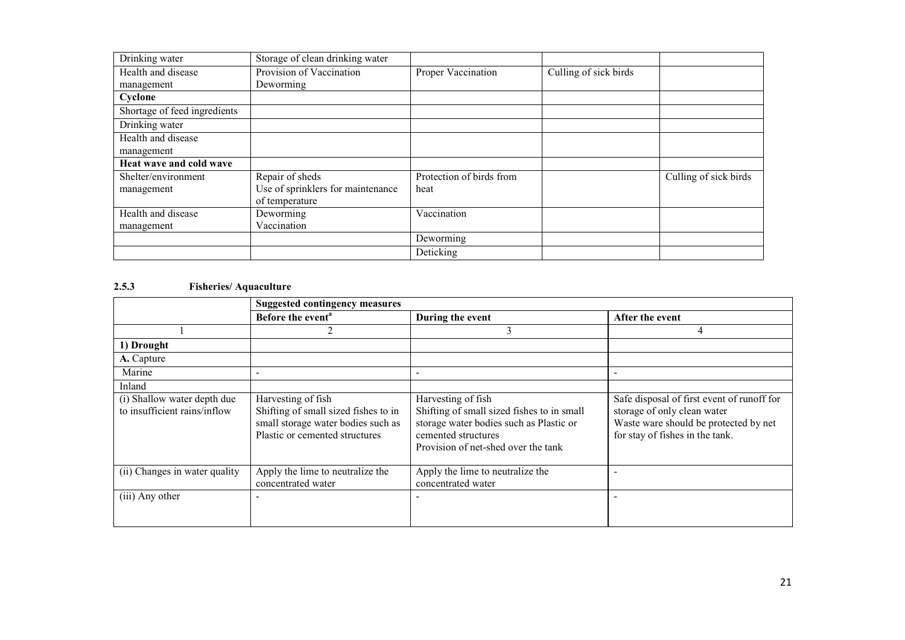| Drinking water               | Storage of clean drinking water   |                          |                       |                       |
|------------------------------|-----------------------------------|--------------------------|-----------------------|-----------------------|
| Health and disease           | Provision of Vaccination          | Proper Vaccination       | Culling of sick birds |                       |
| management                   | Deworming                         |                          |                       |                       |
| Cyclone                      |                                   |                          |                       |                       |
| Shortage of feed ingredients |                                   |                          |                       |                       |
| Drinking water               |                                   |                          |                       |                       |
| Health and disease           |                                   |                          |                       |                       |
| management                   |                                   |                          |                       |                       |
| Heat wave and cold wave      |                                   |                          |                       |                       |
| Shelter/environment          | Repair of sheds                   | Protection of birds from |                       | Culling of sick birds |
| management                   | Use of sprinklers for maintenance | heat                     |                       |                       |
|                              | of temperature                    |                          |                       |                       |
| Health and disease           | Deworming                         | Vaccination              |                       |                       |
| management                   | Vaccination                       |                          |                       |                       |
|                              |                                   | Deworming                |                       |                       |
|                              |                                   | Deticking                |                       |                       |

# 2.5.3 Fisheries/ Aquaculture

|                                                             | <b>Suggested contingency measures</b>                                                                                              |                                                                                                                                                                           |                                                                                                                                                       |  |
|-------------------------------------------------------------|------------------------------------------------------------------------------------------------------------------------------------|---------------------------------------------------------------------------------------------------------------------------------------------------------------------------|-------------------------------------------------------------------------------------------------------------------------------------------------------|--|
|                                                             | Before the event <sup>a</sup>                                                                                                      | During the event                                                                                                                                                          | After the event                                                                                                                                       |  |
|                                                             |                                                                                                                                    | 3                                                                                                                                                                         | 4                                                                                                                                                     |  |
| 1) Drought                                                  |                                                                                                                                    |                                                                                                                                                                           |                                                                                                                                                       |  |
| A. Capture                                                  |                                                                                                                                    |                                                                                                                                                                           |                                                                                                                                                       |  |
| Marine                                                      |                                                                                                                                    |                                                                                                                                                                           |                                                                                                                                                       |  |
| Inland                                                      |                                                                                                                                    |                                                                                                                                                                           |                                                                                                                                                       |  |
| (i) Shallow water depth due<br>to insufficient rains/inflow | Harvesting of fish<br>Shifting of small sized fishes to in<br>small storage water bodies such as<br>Plastic or cemented structures | Harvesting of fish<br>Shifting of small sized fishes to in small<br>storage water bodies such as Plastic or<br>cemented structures<br>Provision of net-shed over the tank | Safe disposal of first event of runoff for<br>storage of only clean water<br>Waste ware should be protected by net<br>for stay of fishes in the tank. |  |
| (ii) Changes in water quality                               | Apply the lime to neutralize the<br>concentrated water                                                                             | Apply the lime to neutralize the<br>concentrated water                                                                                                                    |                                                                                                                                                       |  |
| (iii) Any other                                             |                                                                                                                                    |                                                                                                                                                                           |                                                                                                                                                       |  |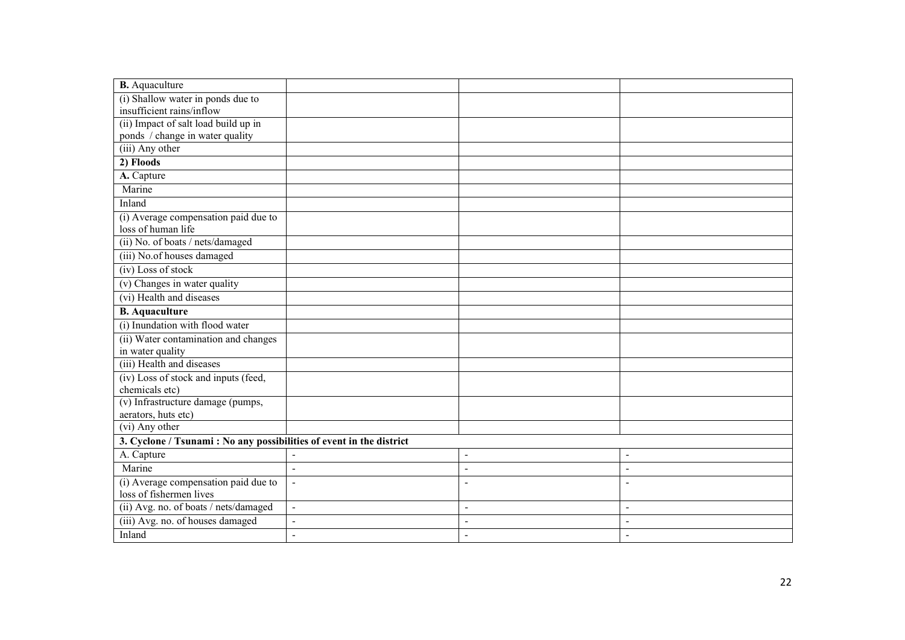| <b>B.</b> Aquaculture                                                |                |                |                          |
|----------------------------------------------------------------------|----------------|----------------|--------------------------|
| (i) Shallow water in ponds due to                                    |                |                |                          |
| insufficient rains/inflow                                            |                |                |                          |
| (ii) Impact of salt load build up in                                 |                |                |                          |
| ponds / change in water quality                                      |                |                |                          |
| (iii) Any other                                                      |                |                |                          |
| 2) Floods                                                            |                |                |                          |
| A. Capture                                                           |                |                |                          |
| Marine                                                               |                |                |                          |
| Inland                                                               |                |                |                          |
| (i) Average compensation paid due to                                 |                |                |                          |
| loss of human life                                                   |                |                |                          |
| (ii) No. of boats / nets/damaged                                     |                |                |                          |
| (iii) No.of houses damaged                                           |                |                |                          |
| (iv) Loss of stock                                                   |                |                |                          |
| (v) Changes in water quality                                         |                |                |                          |
| (vi) Health and diseases                                             |                |                |                          |
| <b>B.</b> Aquaculture                                                |                |                |                          |
| (i) Inundation with flood water                                      |                |                |                          |
| (ii) Water contamination and changes                                 |                |                |                          |
| in water quality                                                     |                |                |                          |
| (iii) Health and diseases                                            |                |                |                          |
| (iv) Loss of stock and inputs (feed,                                 |                |                |                          |
| chemicals etc)                                                       |                |                |                          |
| (v) Infrastructure damage (pumps,                                    |                |                |                          |
| aerators, huts etc)                                                  |                |                |                          |
| (vi) Any other                                                       |                |                |                          |
| 3. Cyclone / Tsunami : No any possibilities of event in the district |                |                |                          |
| A. Capture                                                           |                | $\sim$         | $\blacksquare$           |
| Marine                                                               | $\blacksquare$ | $\blacksquare$ | $\blacksquare$           |
| (i) Average compensation paid due to                                 |                | $\blacksquare$ | $\overline{\phantom{a}}$ |
| loss of fishermen lives                                              |                |                |                          |
| (ii) Avg. no. of boats / nets/damaged                                | $\blacksquare$ | $\blacksquare$ | $\blacksquare$           |
| (iii) Avg. no. of houses damaged                                     |                | $\blacksquare$ | $\blacksquare$           |
| Inland                                                               | $\blacksquare$ | $\sim$         | $\overline{\phantom{a}}$ |